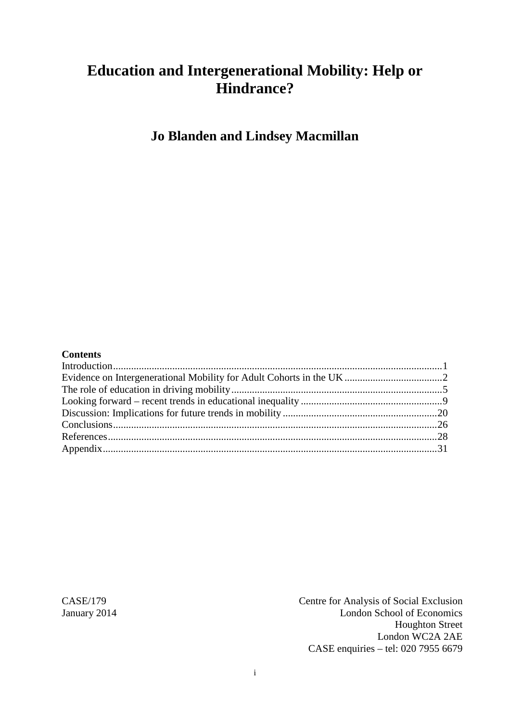# **Education and Intergenerational Mobility: Help or Hindrance?**

**Jo Blanden and Lindsey Macmillan**

#### **Contents**

CASE/179 Centre for Analysis of Social Exclusion<br>
Ianuary 2014 Centre for Analysis of Social Exclusion<br>
London School of Economics London School of Economics Houghton Street London WC2A 2AE CASE enquiries – tel: 020 7955 6679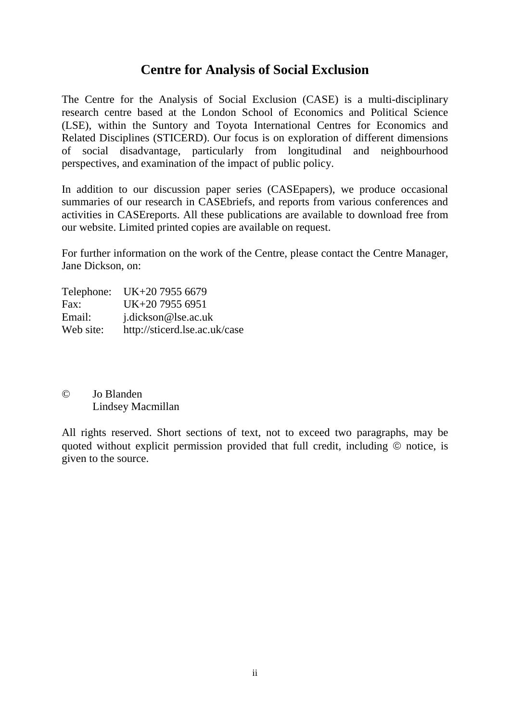# **Centre for Analysis of Social Exclusion**

The Centre for the Analysis of Social Exclusion (CASE) is a multi*-*disciplinary research centre based at the London School of Economics and Political Science (LSE), within the Suntory and Toyota International Centres for Economics and Related Disciplines (STICERD). Our focus is on exploration of different dimensions of social disadvantage, particularly from longitudinal and neighbourhood perspectives, and examination of the impact of public policy.

In addition to our discussion paper series (CASEpapers), we produce occasional summaries of our research in CASEbriefs, and reports from various conferences and activities in CASEreports. All these publications are available to download free from our website. Limited printed copies are available on request.

For further information on the work of the Centre, please contact the Centre Manager, Jane Dickson, on:

| Telephone: UK+20 7955 6679    |
|-------------------------------|
| UK+20 7955 6951               |
| j.dickson@lse.ac.uk           |
| http://sticerd.lse.ac.uk/case |
|                               |

### © Jo Blanden Lindsey Macmillan

All rights reserved. Short sections of text, not to exceed two paragraphs, may be quoted without explicit permission provided that full credit, including  $\odot$  notice, is given to the source.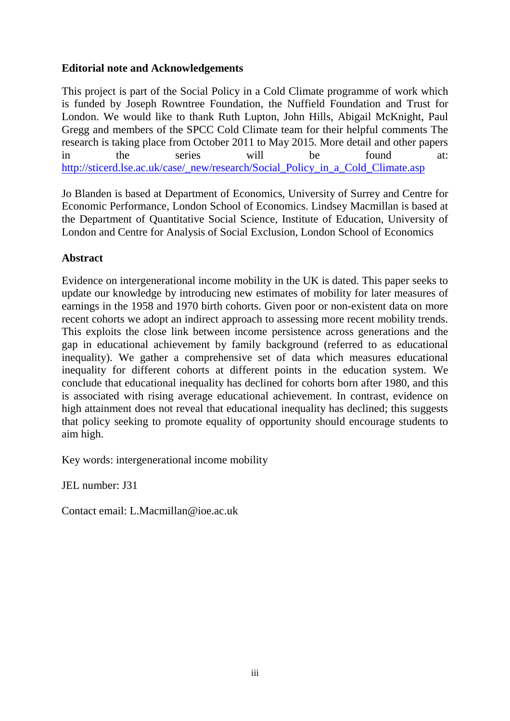### **Editorial note and Acknowledgements**

This project is part of the Social Policy in a Cold Climate programme of work which is funded by Joseph Rowntree Foundation, the Nuffield Foundation and Trust for London. We would like to thank Ruth Lupton, John Hills, Abigail McKnight, Paul Gregg and members of the SPCC Cold Climate team for their helpful comments The research is taking place from October 2011 to May 2015. More detail and other papers in the series will be found at: [http://sticerd.lse.ac.uk/case/\\_new/research/Social\\_Policy\\_in\\_a\\_Cold\\_Climate.asp](http://sticerd.lse.ac.uk/case/_new/research/Social_Policy_in_a_Cold_Climate.asp)

Jo Blanden is based at Department of Economics, University of Surrey and Centre for Economic Performance, London School of Economics. Lindsey Macmillan is based at the Department of Quantitative Social Science, Institute of Education, University of London and Centre for Analysis of Social Exclusion, London School of Economics

# **Abstract**

Evidence on intergenerational income mobility in the UK is dated. This paper seeks to update our knowledge by introducing new estimates of mobility for later measures of earnings in the 1958 and 1970 birth cohorts. Given poor or non-existent data on more recent cohorts we adopt an indirect approach to assessing more recent mobility trends. This exploits the close link between income persistence across generations and the gap in educational achievement by family background (referred to as educational inequality). We gather a comprehensive set of data which measures educational inequality for different cohorts at different points in the education system. We conclude that educational inequality has declined for cohorts born after 1980, and this is associated with rising average educational achievement. In contrast, evidence on high attainment does not reveal that educational inequality has declined; this suggests that policy seeking to promote equality of opportunity should encourage students to aim high.

Key words: intergenerational income mobility

JEL number: J31

Contact email: L.Macmillan@ioe.ac.uk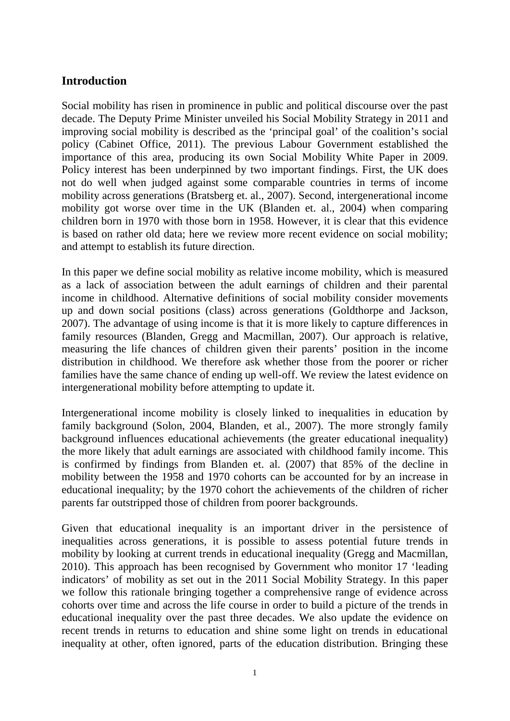# <span id="page-3-0"></span>**Introduction**

Social mobility has risen in prominence in public and political discourse over the past decade. The Deputy Prime Minister unveiled his Social Mobility Strategy in 2011 and improving social mobility is described as the 'principal goal' of the coalition's social policy (Cabinet Office, 2011). The previous Labour Government established the importance of this area, producing its own Social Mobility White Paper in 2009. Policy interest has been underpinned by two important findings. First, the UK does not do well when judged against some comparable countries in terms of income mobility across generations (Bratsberg et. al., 2007). Second, intergenerational income mobility got worse over time in the UK (Blanden et. al., 2004) when comparing children born in 1970 with those born in 1958. However, it is clear that this evidence is based on rather old data; here we review more recent evidence on social mobility; and attempt to establish its future direction.

In this paper we define social mobility as relative income mobility, which is measured as a lack of association between the adult earnings of children and their parental income in childhood. Alternative definitions of social mobility consider movements up and down social positions (class) across generations (Goldthorpe and Jackson, 2007). The advantage of using income is that it is more likely to capture differences in family resources (Blanden, Gregg and Macmillan, 2007). Our approach is relative, measuring the life chances of children given their parents' position in the income distribution in childhood. We therefore ask whether those from the poorer or richer families have the same chance of ending up well-off. We review the latest evidence on intergenerational mobility before attempting to update it.

Intergenerational income mobility is closely linked to inequalities in education by family background (Solon, 2004, Blanden, et al., 2007). The more strongly family background influences educational achievements (the greater educational inequality) the more likely that adult earnings are associated with childhood family income. This is confirmed by findings from Blanden et. al. (2007) that 85% of the decline in mobility between the 1958 and 1970 cohorts can be accounted for by an increase in educational inequality; by the 1970 cohort the achievements of the children of richer parents far outstripped those of children from poorer backgrounds.

Given that educational inequality is an important driver in the persistence of inequalities across generations, it is possible to assess potential future trends in mobility by looking at current trends in educational inequality (Gregg and Macmillan, 2010). This approach has been recognised by Government who monitor 17 'leading indicators' of mobility as set out in the 2011 Social Mobility Strategy. In this paper we follow this rationale bringing together a comprehensive range of evidence across cohorts over time and across the life course in order to build a picture of the trends in educational inequality over the past three decades. We also update the evidence on recent trends in returns to education and shine some light on trends in educational inequality at other, often ignored, parts of the education distribution. Bringing these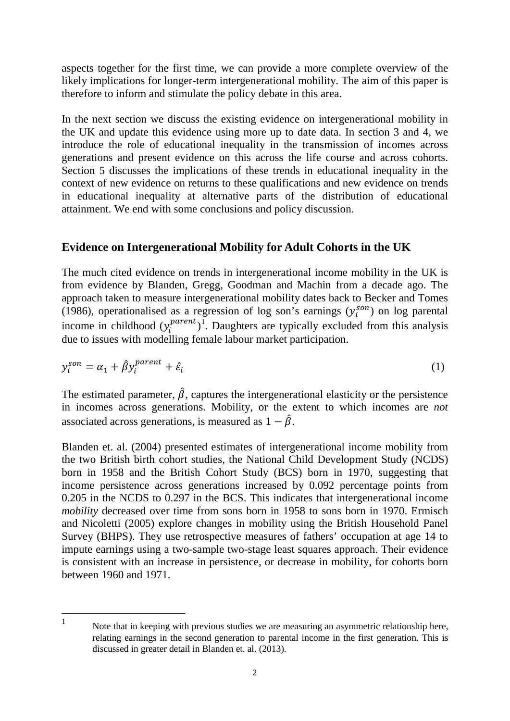aspects together for the first time, we can provide a more complete overview of the likely implications for longer-term intergenerational mobility. The aim of this paper is therefore to inform and stimulate the policy debate in this area.

In the next section we discuss the existing evidence on intergenerational mobility in the UK and update this evidence using more up to date data. In section 3 and 4, we introduce the role of educational inequality in the transmission of incomes across generations and present evidence on this across the life course and across cohorts. Section 5 discusses the implications of these trends in educational inequality in the context of new evidence on returns to these qualifications and new evidence on trends in educational inequality at alternative parts of the distribution of educational attainment. We end with some conclusions and policy discussion.

# <span id="page-4-0"></span>**Evidence on Intergenerational Mobility for Adult Cohorts in the UK**

The much cited evidence on trends in intergenerational income mobility in the UK is from evidence by Blanden, Gregg, Goodman and Machin from a decade ago. The approach taken to measure intergenerational mobility dates back to Becker and Tomes (1986), operationalised as a regression of log son's earnings  $(y_i^{son})$  on log parental income in childhood  $(y_i^{parent})^1$  $(y_i^{parent})^1$ . Daughters are typically excluded from this analysis due to issues with modelling female labour market participation.

$$
y_i^{son} = \alpha_1 + \hat{\beta} y_i^{parent} + \hat{\varepsilon}_i
$$
 (1)

The estimated parameter,  $\hat{\beta}$ , captures the intergenerational elasticity or the persistence in incomes across generations. Mobility, or the extent to which incomes are *not* associated across generations, is measured as  $1 - \hat{\beta}$ .

Blanden et. al. (2004) presented estimates of intergenerational income mobility from the two British birth cohort studies, the National Child Development Study (NCDS) born in 1958 and the British Cohort Study (BCS) born in 1970, suggesting that income persistence across generations increased by 0.092 percentage points from 0.205 in the NCDS to 0.297 in the BCS. This indicates that intergenerational income *mobility* decreased over time from sons born in 1958 to sons born in 1970. Ermisch and Nicoletti (2005) explore changes in mobility using the British Household Panel Survey (BHPS). They use retrospective measures of fathers' occupation at age 14 to impute earnings using a two-sample two-stage least squares approach. Their evidence is consistent with an increase in persistence, or decrease in mobility, for cohorts born between 1960 and 1971.

<span id="page-4-1"></span>Note that in keeping with previous studies we are measuring an asymmetric relationship here, relating earnings in the second generation to parental income in the first generation. This is discussed in greater detail in Blanden et. al. (2013).  $\mathbf{1}$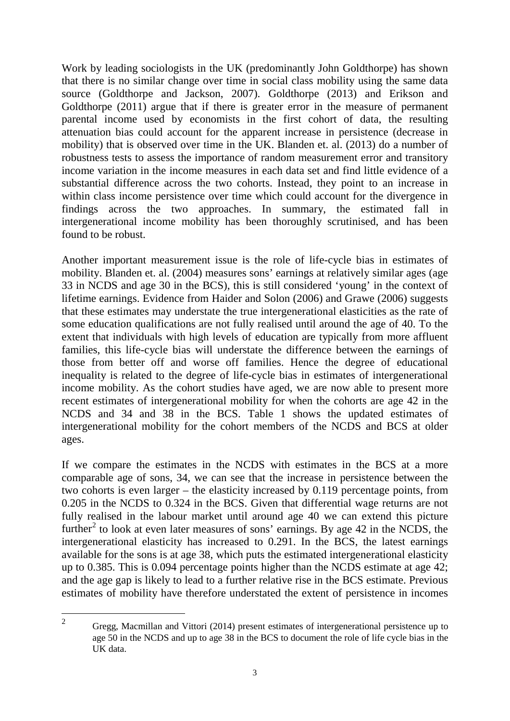Work by leading sociologists in the UK (predominantly John Goldthorpe) has shown that there is no similar change over time in social class mobility using the same data source (Goldthorpe and Jackson, 2007). Goldthorpe (2013) and Erikson and Goldthorpe (2011) argue that if there is greater error in the measure of permanent parental income used by economists in the first cohort of data, the resulting attenuation bias could account for the apparent increase in persistence (decrease in mobility) that is observed over time in the UK. Blanden et. al. (2013) do a number of robustness tests to assess the importance of random measurement error and transitory income variation in the income measures in each data set and find little evidence of a substantial difference across the two cohorts. Instead, they point to an increase in within class income persistence over time which could account for the divergence in findings across the two approaches. In summary, the estimated fall in intergenerational income mobility has been thoroughly scrutinised, and has been found to be robust.

Another important measurement issue is the role of life-cycle bias in estimates of mobility. Blanden et. al. (2004) measures sons' earnings at relatively similar ages (age 33 in NCDS and age 30 in the BCS), this is still considered 'young' in the context of lifetime earnings. Evidence from Haider and Solon (2006) and Grawe (2006) suggests that these estimates may understate the true intergenerational elasticities as the rate of some education qualifications are not fully realised until around the age of 40. To the extent that individuals with high levels of education are typically from more affluent families, this life-cycle bias will understate the difference between the earnings of those from better off and worse off families. Hence the degree of educational inequality is related to the degree of life-cycle bias in estimates of intergenerational income mobility. As the cohort studies have aged, we are now able to present more recent estimates of intergenerational mobility for when the cohorts are age 42 in the NCDS and 34 and 38 in the BCS. Table 1 shows the updated estimates of intergenerational mobility for the cohort members of the NCDS and BCS at older ages.

If we compare the estimates in the NCDS with estimates in the BCS at a more comparable age of sons, 34, we can see that the increase in persistence between the two cohorts is even larger – the elasticity increased by 0.119 percentage points, from 0.205 in the NCDS to 0.324 in the BCS. Given that differential wage returns are not fully realised in the labour market until around age 40 we can extend this picture further<sup>[2](#page-5-0)</sup> to look at even later measures of sons' earnings. By age 42 in the NCDS, the intergenerational elasticity has increased to 0.291. In the BCS, the latest earnings available for the sons is at age 38, which puts the estimated intergenerational elasticity up to 0.385. This is 0.094 percentage points higher than the NCDS estimate at age 42; and the age gap is likely to lead to a further relative rise in the BCS estimate. Previous estimates of mobility have therefore understated the extent of persistence in incomes

<span id="page-5-0"></span><sup>2</sup> Gregg, Macmillan and Vittori (2014) present estimates of intergenerational persistence up to age 50 in the NCDS and up to age 38 in the BCS to document the role of life cycle bias in the UK data.  $\overline{2}$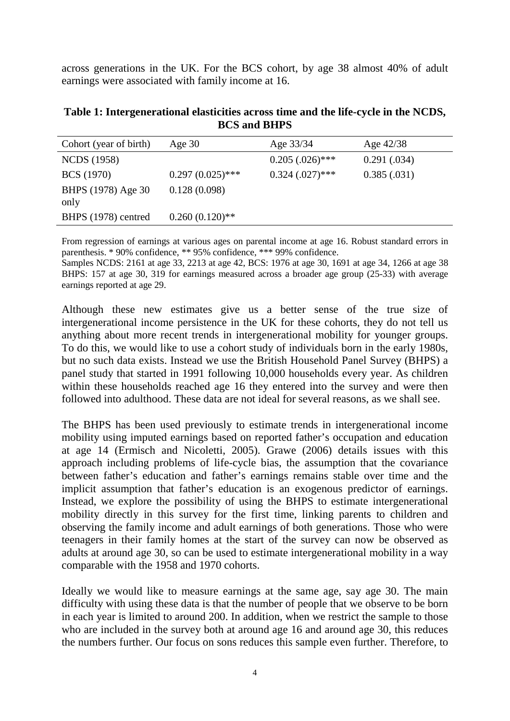across generations in the UK. For the BCS cohort, by age 38 almost 40% of adult earnings were associated with family income at 16.

**Table 1: Intergenerational elasticities across time and the life-cycle in the NCDS, BCS and BHPS**

| Cohort (year of birth)     | Age $30$           | Age 33/34            | Age $42/38$ |
|----------------------------|--------------------|----------------------|-------------|
| <b>NCDS</b> (1958)         |                    | $0.205(.026)$ ***    | 0.291(.034) |
| <b>BCS</b> (1970)          | $0.297(0.025)$ *** | $0.324$ $(.027)$ *** | 0.385(.031) |
| BHPS (1978) Age 30<br>only | 0.128(0.098)       |                      |             |
| BHPS (1978) centred        | $0.260(0.120)$ **  |                      |             |
|                            |                    |                      |             |

From regression of earnings at various ages on parental income at age 16. Robust standard errors in parenthesis. \* 90% confidence, \*\* 95% confidence, \*\*\* 99% confidence.

Samples NCDS: 2161 at age 33, 2213 at age 42, BCS: 1976 at age 30, 1691 at age 34, 1266 at age 38 BHPS: 157 at age 30, 319 for earnings measured across a broader age group (25-33) with average earnings reported at age 29.

Although these new estimates give us a better sense of the true size of intergenerational income persistence in the UK for these cohorts, they do not tell us anything about more recent trends in intergenerational mobility for younger groups. To do this, we would like to use a cohort study of individuals born in the early 1980s, but no such data exists. Instead we use the British Household Panel Survey (BHPS) a panel study that started in 1991 following 10,000 households every year. As children within these households reached age 16 they entered into the survey and were then followed into adulthood. These data are not ideal for several reasons, as we shall see.

The BHPS has been used previously to estimate trends in intergenerational income mobility using imputed earnings based on reported father's occupation and education at age 14 (Ermisch and Nicoletti, 2005). Grawe (2006) details issues with this approach including problems of life-cycle bias, the assumption that the covariance between father's education and father's earnings remains stable over time and the implicit assumption that father's education is an exogenous predictor of earnings. Instead, we explore the possibility of using the BHPS to estimate intergenerational mobility directly in this survey for the first time, linking parents to children and observing the family income and adult earnings of both generations. Those who were teenagers in their family homes at the start of the survey can now be observed as adults at around age 30, so can be used to estimate intergenerational mobility in a way comparable with the 1958 and 1970 cohorts.

Ideally we would like to measure earnings at the same age, say age 30. The main difficulty with using these data is that the number of people that we observe to be born in each year is limited to around 200. In addition, when we restrict the sample to those who are included in the survey both at around age 16 and around age 30, this reduces the numbers further. Our focus on sons reduces this sample even further. Therefore, to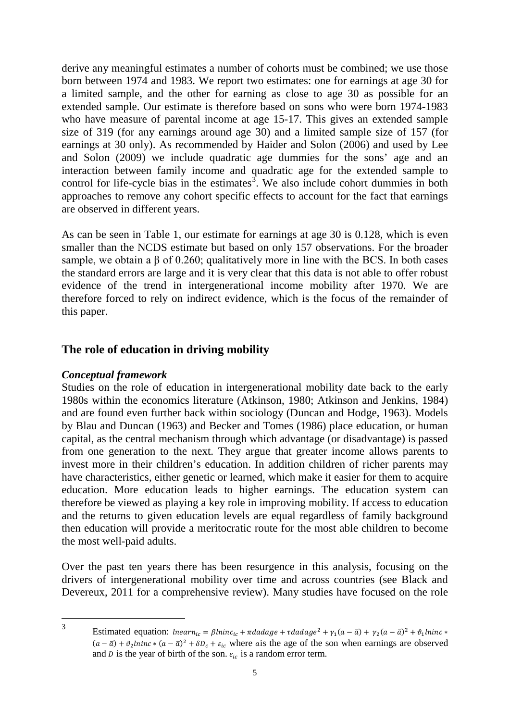derive any meaningful estimates a number of cohorts must be combined; we use those born between 1974 and 1983. We report two estimates: one for earnings at age 30 for a limited sample, and the other for earning as close to age 30 as possible for an extended sample. Our estimate is therefore based on sons who were born 1974-1983 who have measure of parental income at age 15-17. This gives an extended sample size of 319 (for any earnings around age 30) and a limited sample size of 157 (for earnings at 30 only). As recommended by Haider and Solon (2006) and used by Lee and Solon (2009) we include quadratic age dummies for the sons' age and an interaction between family income and quadratic age for the extended sample to control for life-cycle bias in the estimates<sup>[3](#page-7-1)</sup>. We also include cohort dummies in both approaches to remove any cohort specific effects to account for the fact that earnings are observed in different years.

As can be seen in Table 1, our estimate for earnings at age 30 is 0.128, which is even smaller than the NCDS estimate but based on only 157 observations. For the broader sample, we obtain a  $\beta$  of 0.260; qualitatively more in line with the BCS. In both cases the standard errors are large and it is very clear that this data is not able to offer robust evidence of the trend in intergenerational income mobility after 1970. We are therefore forced to rely on indirect evidence, which is the focus of the remainder of this paper.

# <span id="page-7-0"></span>**The role of education in driving mobility**

### *Conceptual framework*

Studies on the role of education in intergenerational mobility date back to the early 1980s within the economics literature (Atkinson, 1980; Atkinson and Jenkins, 1984) and are found even further back within sociology (Duncan and Hodge, 1963). Models by Blau and Duncan (1963) and Becker and Tomes (1986) place education, or human capital, as the central mechanism through which advantage (or disadvantage) is passed from one generation to the next. They argue that greater income allows parents to invest more in their children's education. In addition children of richer parents may have characteristics, either genetic or learned, which make it easier for them to acquire education. More education leads to higher earnings. The education system can therefore be viewed as playing a key role in improving mobility. If access to education and the returns to given education levels are equal regardless of family background then education will provide a meritocratic route for the most able children to become the most well-paid adults.

Over the past ten years there has been resurgence in this analysis, focusing on the drivers of intergenerational mobility over time and across countries (see Black and Devereux, 2011 for a comprehensive review). Many studies have focused on the role

<span id="page-7-1"></span> $\overline{3}$ 

Estimated equation:  $\text{the} \text{ar} n_{ic} = \beta \text{ln} \text{inc}_{ic} + \pi \text{d} \text{ad} \text{age} + \tau \text{d} \text{ad} \text{age}^2 + \gamma_1(a - \bar{a}) + \gamma_2(a - \bar{a})^2 + \vartheta_1 \text{ln} \text{inc} *$  $(a - \bar{a}) + \vartheta_2 \ln \ln c * (a - \bar{a})^2 + \delta D_c + \varepsilon_{ic}$  where a s the age of the son when earnings are observed and *D* is the year of birth of the son.  $\varepsilon_{ic}$  is a random error term.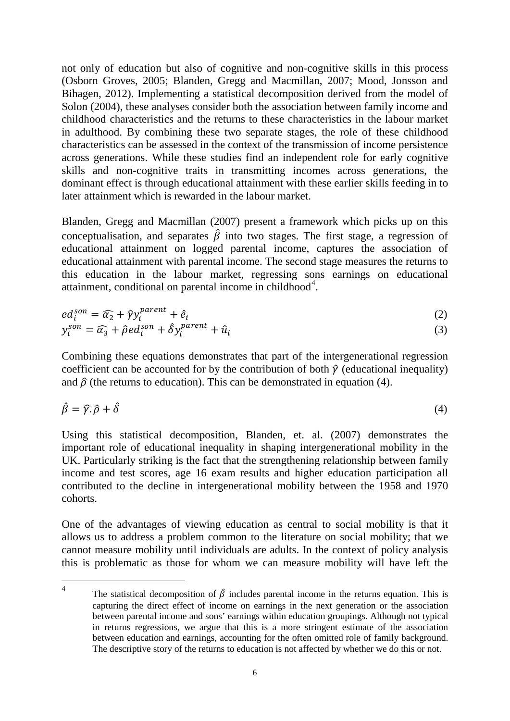not only of education but also of cognitive and non-cognitive skills in this process (Osborn Groves, 2005; Blanden, Gregg and Macmillan, 2007; Mood, Jonsson and Bihagen, 2012). Implementing a statistical decomposition derived from the model of Solon (2004), these analyses consider both the association between family income and childhood characteristics and the returns to these characteristics in the labour market in adulthood. By combining these two separate stages, the role of these childhood characteristics can be assessed in the context of the transmission of income persistence across generations. While these studies find an independent role for early cognitive skills and non-cognitive traits in transmitting incomes across generations, the dominant effect is through educational attainment with these earlier skills feeding in to later attainment which is rewarded in the labour market.

Blanden, Gregg and Macmillan (2007) present a framework which picks up on this conceptualisation, and separates  $\hat{\beta}$  into two stages. The first stage, a regression of educational attainment on logged parental income, captures the association of educational attainment with parental income. The second stage measures the returns to this education in the labour market, regressing sons earnings on educational attainment, conditional on parental income in childhood $4$ .

$$
ed_i^{son} = \widehat{\alpha}_2 + \widehat{\gamma} y_i^{parent} + \widehat{e}_i
$$
 (2)

$$
y_i^{son} = \widehat{\alpha}_3 + \widehat{\rho} e d_i^{son} + \widehat{\delta} y_i^{parent} + \widehat{u}_i
$$
\n(3)

Combining these equations demonstrates that part of the intergenerational regression coefficient can be accounted for by the contribution of both  $\hat{y}$  (educational inequality) and  $\hat{\rho}$  (the returns to education). This can be demonstrated in equation (4).

$$
\hat{\beta} = \hat{\gamma} \cdot \hat{\rho} + \hat{\delta} \tag{4}
$$

Using this statistical decomposition, Blanden, et. al. (2007) demonstrates the important role of educational inequality in shaping intergenerational mobility in the UK. Particularly striking is the fact that the strengthening relationship between family income and test scores, age 16 exam results and higher education participation all contributed to the decline in intergenerational mobility between the 1958 and 1970 cohorts.

One of the advantages of viewing education as central to social mobility is that it allows us to address a problem common to the literature on social mobility; that we cannot measure mobility until individuals are adults. In the context of policy analysis this is problematic as those for whom we can measure mobility will have left the

<span id="page-8-0"></span>The statistical decomposition of  $\hat{\beta}$  includes parental income in the returns equation. This is capturing the direct effect of income on earnings in the next generation or the association between parental income and sons' earnings within education groupings. Although not typical in returns regressions, we argue that this is a more stringent estimate of the association between education and earnings, accounting for the often omitted role of family background. The descriptive story of the returns to education is not affected by whether we do this or not.  $\overline{4}$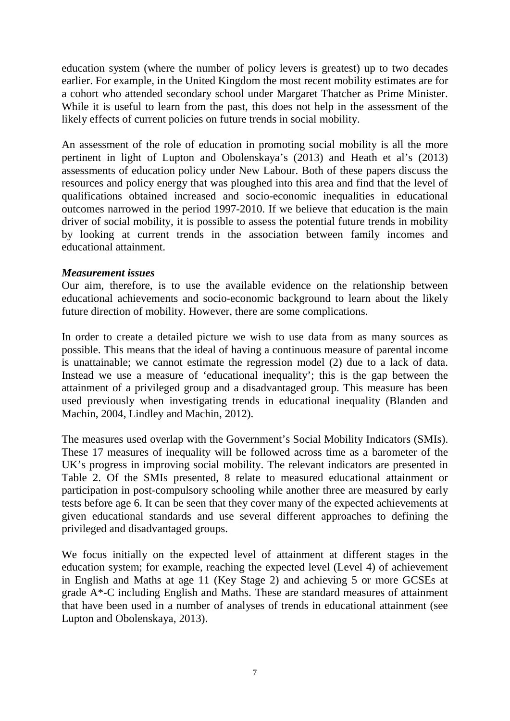education system (where the number of policy levers is greatest) up to two decades earlier. For example, in the United Kingdom the most recent mobility estimates are for a cohort who attended secondary school under Margaret Thatcher as Prime Minister. While it is useful to learn from the past, this does not help in the assessment of the likely effects of current policies on future trends in social mobility.

An assessment of the role of education in promoting social mobility is all the more pertinent in light of Lupton and Obolenskaya's (2013) and Heath et al's (2013) assessments of education policy under New Labour. Both of these papers discuss the resources and policy energy that was ploughed into this area and find that the level of qualifications obtained increased and socio-economic inequalities in educational outcomes narrowed in the period 1997-2010. If we believe that education is the main driver of social mobility, it is possible to assess the potential future trends in mobility by looking at current trends in the association between family incomes and educational attainment.

#### *Measurement issues*

Our aim, therefore, is to use the available evidence on the relationship between educational achievements and socio-economic background to learn about the likely future direction of mobility. However, there are some complications.

In order to create a detailed picture we wish to use data from as many sources as possible. This means that the ideal of having a continuous measure of parental income is unattainable; we cannot estimate the regression model (2) due to a lack of data. Instead we use a measure of 'educational inequality'; this is the gap between the attainment of a privileged group and a disadvantaged group. This measure has been used previously when investigating trends in educational inequality (Blanden and Machin, 2004, Lindley and Machin, 2012).

The measures used overlap with the Government's Social Mobility Indicators (SMIs). These 17 measures of inequality will be followed across time as a barometer of the UK's progress in improving social mobility. The relevant indicators are presented in Table 2. Of the SMIs presented, 8 relate to measured educational attainment or participation in post-compulsory schooling while another three are measured by early tests before age 6. It can be seen that they cover many of the expected achievements at given educational standards and use several different approaches to defining the privileged and disadvantaged groups.

We focus initially on the expected level of attainment at different stages in the education system; for example, reaching the expected level (Level 4) of achievement in English and Maths at age 11 (Key Stage 2) and achieving 5 or more GCSEs at grade A\*-C including English and Maths. These are standard measures of attainment that have been used in a number of analyses of trends in educational attainment (see Lupton and Obolenskaya, 2013).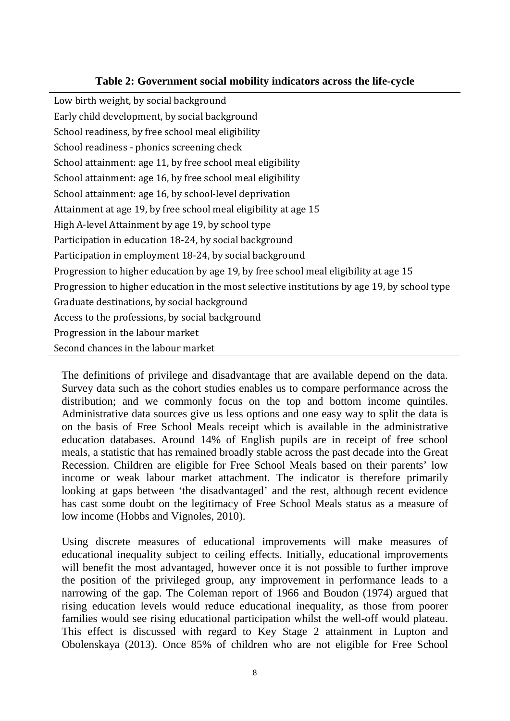#### **Table 2: Government social mobility indicators across the life-cycle**

Low birth weight, by social background Early child development, by social background School readiness, by free school meal eligibility School readiness - phonics screening check School attainment: age 11, by free school meal eligibility School attainment: age 16, by free school meal eligibility School attainment: age 16, by school-level deprivation Attainment at age 19, by free school meal eligibility at age 15 High A-level Attainment by age 19, by school type Participation in education 18-24, by social background Participation in employment 18-24, by social background Progression to higher education by age 19, by free school meal eligibility at age 15 Progression to higher education in the most selective institutions by age 19, by school type Graduate destinations, by social background Access to the professions, by social background Progression in the labour market Second chances in the labour market

The definitions of privilege and disadvantage that are available depend on the data. Survey data such as the cohort studies enables us to compare performance across the distribution; and we commonly focus on the top and bottom income quintiles. Administrative data sources give us less options and one easy way to split the data is on the basis of Free School Meals receipt which is available in the administrative education databases. Around 14% of English pupils are in receipt of free school meals, a statistic that has remained broadly stable across the past decade into the Great Recession. Children are eligible for Free School Meals based on their parents' low income or weak labour market attachment. The indicator is therefore primarily looking at gaps between 'the disadvantaged' and the rest, although recent evidence has cast some doubt on the legitimacy of Free School Meals status as a measure of low income (Hobbs and Vignoles, 2010).

Using discrete measures of educational improvements will make measures of educational inequality subject to ceiling effects. Initially, educational improvements will benefit the most advantaged, however once it is not possible to further improve the position of the privileged group, any improvement in performance leads to a narrowing of the gap. The Coleman report of 1966 and Boudon (1974) argued that rising education levels would reduce educational inequality, as those from poorer families would see rising educational participation whilst the well-off would plateau. This effect is discussed with regard to Key Stage 2 attainment in Lupton and Obolenskaya (2013). Once 85% of children who are not eligible for Free School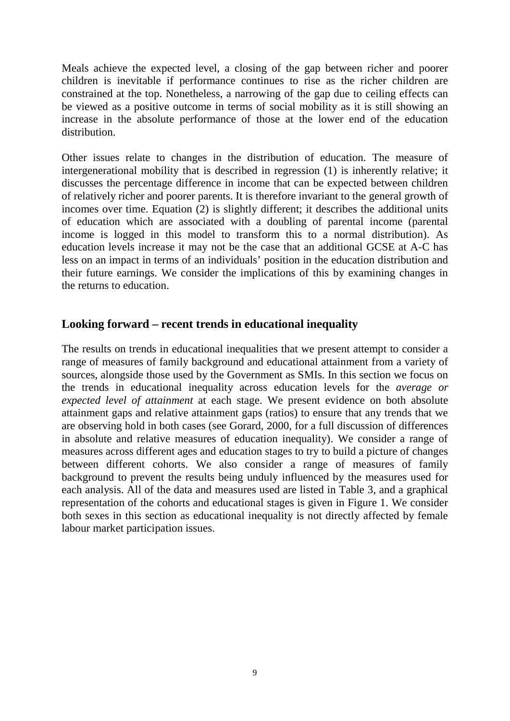Meals achieve the expected level, a closing of the gap between richer and poorer children is inevitable if performance continues to rise as the richer children are constrained at the top. Nonetheless, a narrowing of the gap due to ceiling effects can be viewed as a positive outcome in terms of social mobility as it is still showing an increase in the absolute performance of those at the lower end of the education distribution.

Other issues relate to changes in the distribution of education. The measure of intergenerational mobility that is described in regression (1) is inherently relative; it discusses the percentage difference in income that can be expected between children of relatively richer and poorer parents. It is therefore invariant to the general growth of incomes over time. Equation (2) is slightly different; it describes the additional units of education which are associated with a doubling of parental income (parental income is logged in this model to transform this to a normal distribution). As education levels increase it may not be the case that an additional GCSE at A-C has less on an impact in terms of an individuals' position in the education distribution and their future earnings. We consider the implications of this by examining changes in the returns to education.

# <span id="page-11-0"></span>**Looking forward – recent trends in educational inequality**

The results on trends in educational inequalities that we present attempt to consider a range of measures of family background and educational attainment from a variety of sources, alongside those used by the Government as SMIs. In this section we focus on the trends in educational inequality across education levels for the *average or expected level of attainment* at each stage. We present evidence on both absolute attainment gaps and relative attainment gaps (ratios) to ensure that any trends that we are observing hold in both cases (see Gorard, 2000, for a full discussion of differences in absolute and relative measures of education inequality). We consider a range of measures across different ages and education stages to try to build a picture of changes between different cohorts. We also consider a range of measures of family background to prevent the results being unduly influenced by the measures used for each analysis. All of the data and measures used are listed in Table 3, and a graphical representation of the cohorts and educational stages is given in Figure 1. We consider both sexes in this section as educational inequality is not directly affected by female labour market participation issues.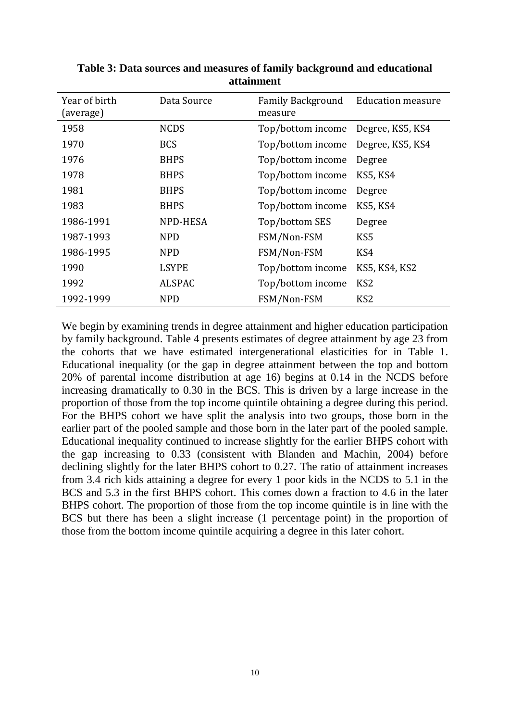| Year of birth<br>(average) | Data Source   | <b>Family Background</b><br>measure | <b>Education measure</b> |
|----------------------------|---------------|-------------------------------------|--------------------------|
| 1958                       | <b>NCDS</b>   | Top/bottom income                   | Degree, KS5, KS4         |
| 1970                       | <b>BCS</b>    | Top/bottom income                   | Degree, KS5, KS4         |
| 1976                       | <b>BHPS</b>   | Top/bottom income                   | Degree                   |
| 1978                       | <b>BHPS</b>   | Top/bottom income                   | <b>KS5, KS4</b>          |
| 1981                       | <b>BHPS</b>   | Top/bottom income                   | Degree                   |
| 1983                       | <b>BHPS</b>   | Top/bottom income                   | <b>KS5, KS4</b>          |
| 1986-1991                  | NPD-HESA      | Top/bottom SES                      | Degree                   |
| 1987-1993                  | <b>NPD</b>    | FSM/Non-FSM                         | KS <sub>5</sub>          |
| 1986-1995                  | <b>NPD</b>    | FSM/Non-FSM                         | KS4                      |
| 1990                       | <b>LSYPE</b>  | Top/bottom income                   | <b>KS5, KS4, KS2</b>     |
| 1992                       | <b>ALSPAC</b> | Top/bottom income                   | KS <sub>2</sub>          |
| 1992-1999                  | <b>NPD</b>    | FSM/Non-FSM                         | KS <sub>2</sub>          |

**Table 3: Data sources and measures of family background and educational attainment**

We begin by examining trends in degree attainment and higher education participation by family background. Table 4 presents estimates of degree attainment by age 23 from the cohorts that we have estimated intergenerational elasticities for in Table 1. Educational inequality (or the gap in degree attainment between the top and bottom 20% of parental income distribution at age 16) begins at 0.14 in the NCDS before increasing dramatically to 0.30 in the BCS. This is driven by a large increase in the proportion of those from the top income quintile obtaining a degree during this period. For the BHPS cohort we have split the analysis into two groups, those born in the earlier part of the pooled sample and those born in the later part of the pooled sample. Educational inequality continued to increase slightly for the earlier BHPS cohort with the gap increasing to 0.33 (consistent with Blanden and Machin, 2004) before declining slightly for the later BHPS cohort to 0.27. The ratio of attainment increases from 3.4 rich kids attaining a degree for every 1 poor kids in the NCDS to 5.1 in the BCS and 5.3 in the first BHPS cohort. This comes down a fraction to 4.6 in the later BHPS cohort. The proportion of those from the top income quintile is in line with the BCS but there has been a slight increase (1 percentage point) in the proportion of those from the bottom income quintile acquiring a degree in this later cohort.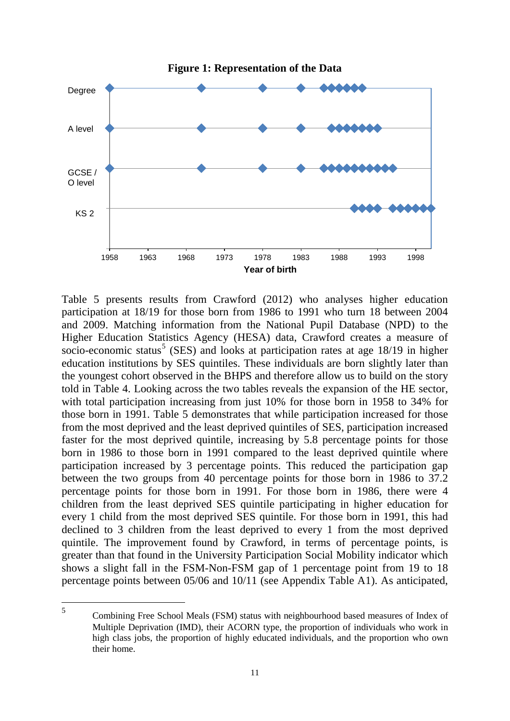

Table 5 presents results from Crawford (2012) who analyses higher education participation at 18/19 for those born from 1986 to 1991 who turn 18 between 2004 and 2009. Matching information from the National Pupil Database (NPD) to the Higher Education Statistics Agency (HESA) data, Crawford creates a measure of socio-economic status<sup>[5](#page-13-0)</sup> (SES) and looks at participation rates at age  $18/19$  in higher education institutions by SES quintiles. These individuals are born slightly later than the youngest cohort observed in the BHPS and therefore allow us to build on the story told in Table 4. Looking across the two tables reveals the expansion of the HE sector, with total participation increasing from just 10% for those born in 1958 to 34% for those born in 1991. Table 5 demonstrates that while participation increased for those from the most deprived and the least deprived quintiles of SES, participation increased faster for the most deprived quintile, increasing by 5.8 percentage points for those born in 1986 to those born in 1991 compared to the least deprived quintile where participation increased by 3 percentage points. This reduced the participation gap between the two groups from 40 percentage points for those born in 1986 to 37.2 percentage points for those born in 1991. For those born in 1986, there were 4 children from the least deprived SES quintile participating in higher education for every 1 child from the most deprived SES quintile. For those born in 1991, this had declined to 3 children from the least deprived to every 1 from the most deprived quintile. The improvement found by Crawford, in terms of percentage points, is greater than that found in the University Participation Social Mobility indicator which shows a slight fall in the FSM-Non-FSM gap of 1 percentage point from 19 to 18 percentage points between 05/06 and 10/11 (see Appendix Table A1). As anticipated,

<span id="page-13-0"></span><sup>5</sup> Combining Free School Meals (FSM) status with neighbourhood based measures of Index of Multiple Deprivation (IMD), their ACORN type, the proportion of individuals who work in high class jobs, the proportion of highly educated individuals, and the proportion who own their home. 5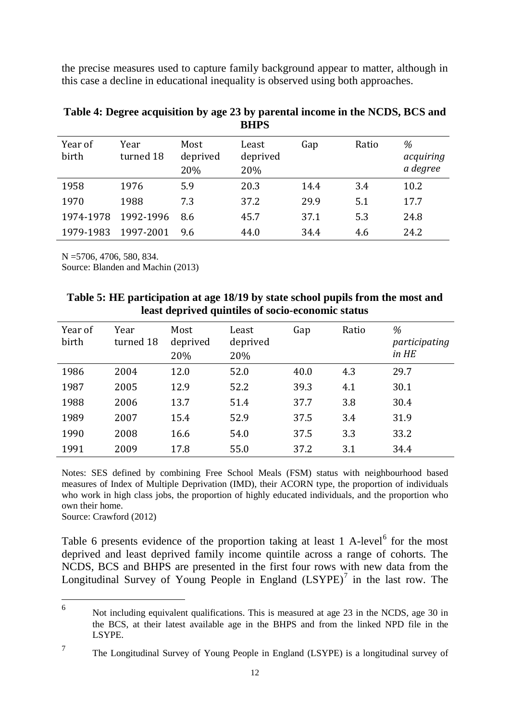the precise measures used to capture family background appear to matter, although in this case a decline in educational inequality is observed using both approaches.

| Year of<br>birth | Year<br>turned 18 | Most<br>deprived<br>20% | Least<br>deprived<br>20% | Gap  | Ratio | %<br>acquiring<br>a degree |
|------------------|-------------------|-------------------------|--------------------------|------|-------|----------------------------|
| 1958             | 1976              | 5.9                     | 20.3                     | 14.4 | 3.4   | 10.2                       |
| 1970             | 1988              | 7.3                     | 37.2                     | 29.9 | 5.1   | 17.7                       |
| 1974-1978        | 1992-1996         | 8.6                     | 45.7                     | 37.1 | 5.3   | 24.8                       |
| 1979-1983        | 1997-2001         | 9.6                     | 44.0                     | 34.4 | 4.6   | 24.2                       |

**Table 4: Degree acquisition by age 23 by parental income in the NCDS, BCS and BHPS**

N =5706, 4706, 580, 834.

Source: Blanden and Machin (2013)

| Table 5: HE participation at age 18/19 by state school pupils from the most and |
|---------------------------------------------------------------------------------|
| least deprived quintiles of socio-economic status                               |

| Year of<br>birth | Year<br>turned 18 | Most<br>deprived<br>20% | Least<br>deprived<br>20% | Gap  | Ratio | %<br>participating<br>in HE |
|------------------|-------------------|-------------------------|--------------------------|------|-------|-----------------------------|
| 1986             | 2004              | 12.0                    | 52.0                     | 40.0 | 4.3   | 29.7                        |
| 1987             | 2005              | 12.9                    | 52.2                     | 39.3 | 4.1   | 30.1                        |
| 1988             | 2006              | 13.7                    | 51.4                     | 37.7 | 3.8   | 30.4                        |
| 1989             | 2007              | 15.4                    | 52.9                     | 37.5 | 3.4   | 31.9                        |
| 1990             | 2008              | 16.6                    | 54.0                     | 37.5 | 3.3   | 33.2                        |
| 1991             | 2009              | 17.8                    | 55.0                     | 37.2 | 3.1   | 34.4                        |

Notes: SES defined by combining Free School Meals (FSM) status with neighbourhood based measures of Index of Multiple Deprivation (IMD), their ACORN type, the proportion of individuals who work in high class jobs, the proportion of highly educated individuals, and the proportion who own their home.

Source: Crawford (2012)

Table [6](#page-14-0) presents evidence of the proportion taking at least  $1$  A-level<sup>6</sup> for the most deprived and least deprived family income quintile across a range of cohorts. The NCDS, BCS and BHPS are presented in the first four rows with new data from the Longitudinal Survey of Young People in England  $(LSYPE)^7$  $(LSYPE)^7$  in the last row. The

<span id="page-14-0"></span><sup>6</sup> Not including equivalent qualifications. This is measured at age 23 in the NCDS, age 30 in the BCS, at their latest available age in the BHPS and from the linked NPD file in the LSYPE. 6

<span id="page-14-1"></span><sup>&</sup>lt;sup>7</sup> The Longitudinal Survey of Young People in England (LSYPE) is a longitudinal survey of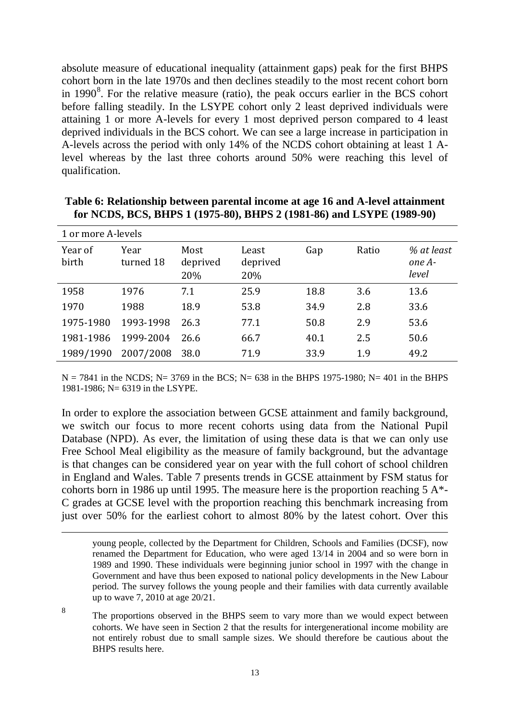absolute measure of educational inequality (attainment gaps) peak for the first BHPS cohort born in the late 1970s and then declines steadily to the most recent cohort born in 1990 $\delta$ . For the relative measure (ratio), the peak occurs earlier in the BCS cohort before falling steadily. In the LSYPE cohort only 2 least deprived individuals were attaining 1 or more A-levels for every 1 most deprived person compared to 4 least deprived individuals in the BCS cohort. We can see a large increase in participation in A-levels across the period with only 14% of the NCDS cohort obtaining at least 1 Alevel whereas by the last three cohorts around 50% were reaching this level of qualification.

| 1 or more A-levels |                   |                         |                          |      |       |                               |  |  |
|--------------------|-------------------|-------------------------|--------------------------|------|-------|-------------------------------|--|--|
| Year of<br>birth   | Year<br>turned 18 | Most<br>deprived<br>20% | Least<br>deprived<br>20% | Gap  | Ratio | % at least<br>one A-<br>level |  |  |
| 1958               | 1976              | 7.1                     | 25.9                     | 18.8 | 3.6   | 13.6                          |  |  |
| 1970               | 1988              | 18.9                    | 53.8                     | 34.9 | 2.8   | 33.6                          |  |  |
| 1975-1980          | 1993-1998         | 26.3                    | 77.1                     | 50.8 | 2.9   | 53.6                          |  |  |
| 1981-1986          | 1999-2004         | 26.6                    | 66.7                     | 40.1 | 2.5   | 50.6                          |  |  |
| 1989/1990          | 2007/2008         | 38.0                    | 71.9                     | 33.9 | 1.9   | 49.2                          |  |  |

**Table 6: Relationship between parental income at age 16 and A-level attainment for NCDS, BCS, BHPS 1 (1975-80), BHPS 2 (1981-86) and LSYPE (1989-90)**

 $N = 7841$  in the NCDS; N= 3769 in the BCS; N= 638 in the BHPS 1975-1980; N= 401 in the BHPS 1981-1986; N= 6319 in the LSYPE.

In order to explore the association between GCSE attainment and family background, we switch our focus to more recent cohorts using data from the National Pupil Database (NPD). As ever, the limitation of using these data is that we can only use Free School Meal eligibility as the measure of family background, but the advantage is that changes can be considered year on year with the full cohort of school children in England and Wales. Table 7 presents trends in GCSE attainment by FSM status for cohorts born in 1986 up until 1995. The measure here is the proportion reaching  $5 A^*$ -C grades at GCSE level with the proportion reaching this benchmark increasing from just over 50% for the earliest cohort to almost 80% by the latest cohort. Over this

-

<span id="page-15-0"></span><sup>8</sup> The proportions observed in the BHPS seem to vary more than we would expect between cohorts. We have seen in Section 2 that the results for intergenerational income mobility are not entirely robust due to small sample sizes. We should therefore be cautious about the BHPS results here.

young people, collected by the Department for Children, Schools and Families (DCSF), now renamed the Department for Education, who were aged 13/14 in 2004 and so were born in 1989 and 1990. These individuals were beginning junior school in 1997 with the change in Government and have thus been exposed to national policy developments in the New Labour period. The survey follows the young people and their families with data currently available up to wave 7, 2010 at age 20/21.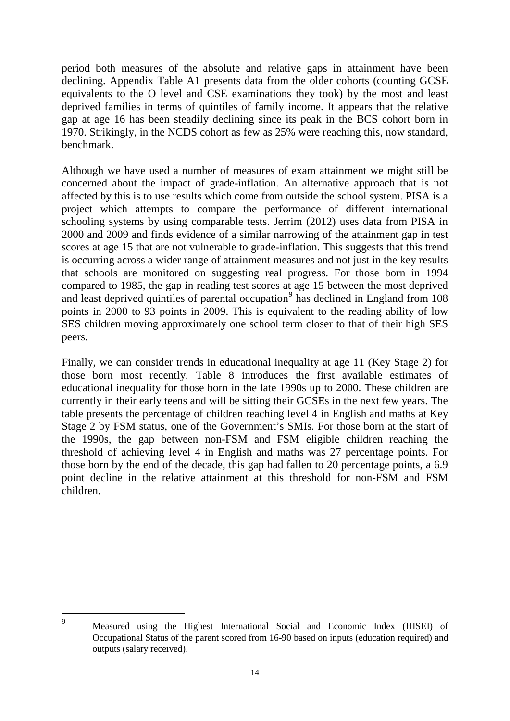period both measures of the absolute and relative gaps in attainment have been declining. Appendix Table A1 presents data from the older cohorts (counting GCSE equivalents to the O level and CSE examinations they took) by the most and least deprived families in terms of quintiles of family income. It appears that the relative gap at age 16 has been steadily declining since its peak in the BCS cohort born in 1970. Strikingly, in the NCDS cohort as few as 25% were reaching this, now standard, benchmark.

Although we have used a number of measures of exam attainment we might still be concerned about the impact of grade-inflation. An alternative approach that is not affected by this is to use results which come from outside the school system. PISA is a project which attempts to compare the performance of different international schooling systems by using comparable tests. Jerrim (2012) uses data from PISA in 2000 and 2009 and finds evidence of a similar narrowing of the attainment gap in test scores at age 15 that are not vulnerable to grade-inflation. This suggests that this trend is occurring across a wider range of attainment measures and not just in the key results that schools are monitored on suggesting real progress. For those born in 1994 compared to 1985, the gap in reading test scores at age 15 between the most deprived and least deprived quintiles of parental occupation<sup>[9](#page-16-0)</sup> has declined in England from  $108$ points in 2000 to 93 points in 2009. This is equivalent to the reading ability of low SES children moving approximately one school term closer to that of their high SES peers.

Finally, we can consider trends in educational inequality at age 11 (Key Stage 2) for those born most recently. Table 8 introduces the first available estimates of educational inequality for those born in the late 1990s up to 2000. These children are currently in their early teens and will be sitting their GCSEs in the next few years. The table presents the percentage of children reaching level 4 in English and maths at Key Stage 2 by FSM status, one of the Government's SMIs. For those born at the start of the 1990s, the gap between non-FSM and FSM eligible children reaching the threshold of achieving level 4 in English and maths was 27 percentage points. For those born by the end of the decade, this gap had fallen to 20 percentage points, a 6.9 point decline in the relative attainment at this threshold for non-FSM and FSM children.

<span id="page-16-0"></span> $\overline{9}$ 

<sup>9</sup> Measured using the Highest International Social and Economic Index (HISEI) of Occupational Status of the parent scored from 16-90 based on inputs (education required) and outputs (salary received).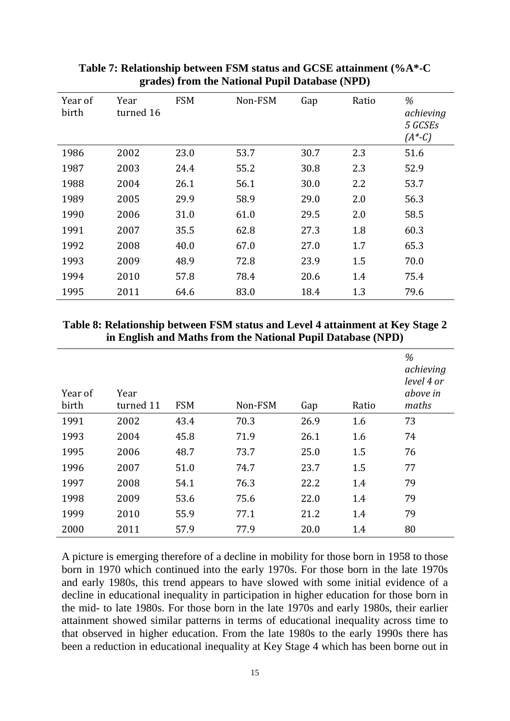| Year of<br>birth | Year<br>turned 16 | <b>FSM</b> | Non-FSM | Gap  | Ratio | %<br>achieving<br>5 GCSEs<br>$(A*-C)$ |
|------------------|-------------------|------------|---------|------|-------|---------------------------------------|
| 1986             | 2002              | 23.0       | 53.7    | 30.7 | 2.3   | 51.6                                  |
| 1987             | 2003              | 24.4       | 55.2    | 30.8 | 2.3   | 52.9                                  |
| 1988             | 2004              | 26.1       | 56.1    | 30.0 | 2.2   | 53.7                                  |
| 1989             | 2005              | 29.9       | 58.9    | 29.0 | 2.0   | 56.3                                  |
| 1990             | 2006              | 31.0       | 61.0    | 29.5 | 2.0   | 58.5                                  |
| 1991             | 2007              | 35.5       | 62.8    | 27.3 | 1.8   | 60.3                                  |
| 1992             | 2008              | 40.0       | 67.0    | 27.0 | 1.7   | 65.3                                  |
| 1993             | 2009              | 48.9       | 72.8    | 23.9 | 1.5   | 70.0                                  |
| 1994             | 2010              | 57.8       | 78.4    | 20.6 | 1.4   | 75.4                                  |
| 1995             | 2011              | 64.6       | 83.0    | 18.4 | 1.3   | 79.6                                  |

#### **Table 7: Relationship between FSM status and GCSE attainment (%A\*-C grades) from the National Pupil Database (NPD)**

#### **Table 8: Relationship between FSM status and Level 4 attainment at Key Stage 2 in English and Maths from the National Pupil Database (NPD)**

| Year of<br>birth | Year<br>turned 11 | <b>FSM</b> | Non-FSM | Gap  | Ratio | %<br>achieving<br>level 4 or<br>above in<br>maths |
|------------------|-------------------|------------|---------|------|-------|---------------------------------------------------|
| 1991             | 2002              | 43.4       | 70.3    | 26.9 | 1.6   | 73                                                |
| 1993             | 2004              | 45.8       | 71.9    | 26.1 | 1.6   | 74                                                |
| 1995             | 2006              | 48.7       | 73.7    | 25.0 | 1.5   | 76                                                |
| 1996             | 2007              | 51.0       | 74.7    | 23.7 | 1.5   | 77                                                |
| 1997             | 2008              | 54.1       | 76.3    | 22.2 | 1.4   | 79                                                |
| 1998             | 2009              | 53.6       | 75.6    | 22.0 | 1.4   | 79                                                |
| 1999             | 2010              | 55.9       | 77.1    | 21.2 | 1.4   | 79                                                |
| 2000             | 2011              | 57.9       | 77.9    | 20.0 | 1.4   | 80                                                |

A picture is emerging therefore of a decline in mobility for those born in 1958 to those born in 1970 which continued into the early 1970s. For those born in the late 1970s and early 1980s, this trend appears to have slowed with some initial evidence of a decline in educational inequality in participation in higher education for those born in the mid- to late 1980s. For those born in the late 1970s and early 1980s, their earlier attainment showed similar patterns in terms of educational inequality across time to that observed in higher education. From the late 1980s to the early 1990s there has been a reduction in educational inequality at Key Stage 4 which has been borne out in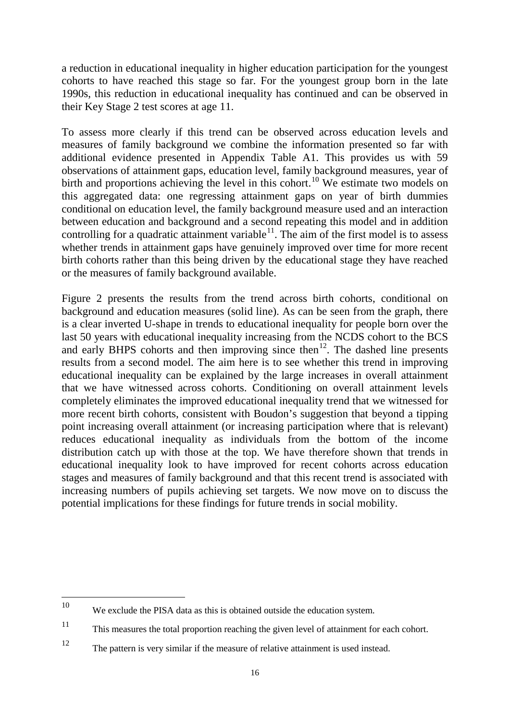a reduction in educational inequality in higher education participation for the youngest cohorts to have reached this stage so far. For the youngest group born in the late 1990s, this reduction in educational inequality has continued and can be observed in their Key Stage 2 test scores at age 11.

To assess more clearly if this trend can be observed across education levels and measures of family background we combine the information presented so far with additional evidence presented in Appendix Table A1. This provides us with 59 observations of attainment gaps, education level, family background measures, year of birth and proportions achieving the level in this cohort.<sup>[10](#page-18-0)</sup> We estimate two models on this aggregated data: one regressing attainment gaps on year of birth dummies conditional on education level, the family background measure used and an interaction between education and background and a second repeating this model and in addition controlling for a quadratic attainment variable<sup>11</sup>. The aim of the first model is to assess whether trends in attainment gaps have genuinely improved over time for more recent birth cohorts rather than this being driven by the educational stage they have reached or the measures of family background available.

Figure 2 presents the results from the trend across birth cohorts, conditional on background and education measures (solid line). As can be seen from the graph, there is a clear inverted U-shape in trends to educational inequality for people born over the last 50 years with educational inequality increasing from the NCDS cohort to the BCS and early BHPS cohorts and then improving since then<sup>12</sup>. The dashed line presents results from a second model. The aim here is to see whether this trend in improving educational inequality can be explained by the large increases in overall attainment that we have witnessed across cohorts. Conditioning on overall attainment levels completely eliminates the improved educational inequality trend that we witnessed for more recent birth cohorts, consistent with Boudon's suggestion that beyond a tipping point increasing overall attainment (or increasing participation where that is relevant) reduces educational inequality as individuals from the bottom of the income distribution catch up with those at the top. We have therefore shown that trends in educational inequality look to have improved for recent cohorts across education stages and measures of family background and that this recent trend is associated with increasing numbers of pupils achieving set targets. We now move on to discuss the potential implications for these findings for future trends in social mobility.

<span id="page-18-0"></span>We exclude the PISA data as this is obtained outside the education system. 10

<span id="page-18-1"></span><sup>11</sup> This measures the total proportion reaching the given level of attainment for each cohort.

<span id="page-18-2"></span><sup>12</sup> The pattern is very similar if the measure of relative attainment is used instead.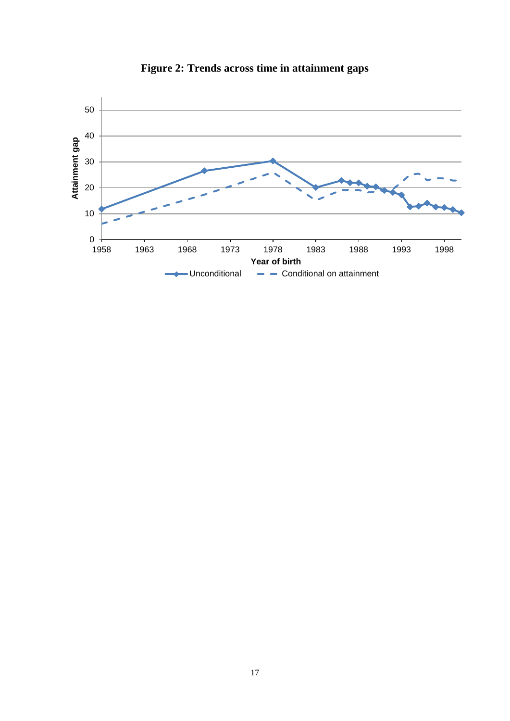

**Figure 2: Trends across time in attainment gaps**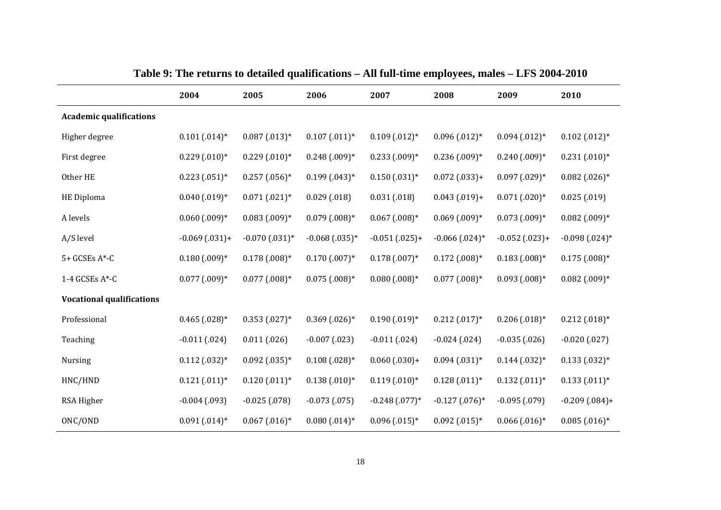|                                  | 2004              | 2005                | 2006               | 2007              | 2008               | 2009               | 2010              |
|----------------------------------|-------------------|---------------------|--------------------|-------------------|--------------------|--------------------|-------------------|
| <b>Academic qualifications</b>   |                   |                     |                    |                   |                    |                    |                   |
| Higher degree                    | $0.101(0.014)$ *  | $0.087(0.013)*$     | $0.107$ $(.011)^*$ | $0.109(0.012)*$   | $0.096(0.012)*$    | $0.094(0.012)*$    | $0.102(0.012)*$   |
| First degree                     | $0.229(0.010)*$   | $0.229(0.010)*$     | $0.248(0.09)*$     | $0.233(0.09)*$    | $0.236(.009)*$     | $0.240(0.009)*$    | $0.231(0.010)*$   |
| Other HE                         | $0.223(0.051)*$   | $0.257(0.056)*$     | $0.199(0.043)*$    | $0.150(0.031)*$   | $0.072(0.033)+$    | $0.097(029)*$      | $0.082$ (.026)*   |
| HE Diploma                       | $0.040$ $(.019)*$ | $0.071(021)*$       | 0.029(0.018)       | 0.031(0.018)      | $0.043(0.019)+$    | $0.071(020)*$      | 0.025(019)        |
| A levels                         | $0.060(0.009)*$   | $0.083(0.09)*$      | $0.079$ $(.008)*$  | $0.067$ $(.008)*$ | $0.069(0.009)*$    | $0.073(0.09)*$     | $0.082$ $(.009)*$ |
| A/S level                        | $-0.069(0.031)+$  | $-0.070$ $(.031)$ * | $-0.068(0.035)*$   | $-0.051(0.025)+$  | $-0.066$ $(.024)*$ | $-0.052(0.023)+$   | $-0.098(0.024)$ * |
| 5+ GCSEs A*-C                    | $0.180$ $(.009)*$ | $0.178(0.008)*$     | $0.170$ $(.007)*$  | $0.178(0.007)*$   | $0.172$ $(.008)*$  | $0.183(.008)*$     | $0.175(0.008)*$   |
| 1-4 GCSEs A*-C                   | $0.077$ $(.009)*$ | $0.077$ $(.008)*$   | $0.075$ $(.008)*$  | $0.080$ $(.008)*$ | $0.077$ $(.008)*$  | $0.093(0.008)*$    | $0.082$ (.009)*   |
| <b>Vocational qualifications</b> |                   |                     |                    |                   |                    |                    |                   |
| Professional                     | $0.465$ $(.028)*$ | $0.353(0.027)*$     | $0.369(0.026)*$    | $0.190(0.019)*$   | $0.212(0.017)*$    | $0.206(0.018)*$    | $0.212(0.018)*$   |
| Teaching                         | $-0.011(024)$     | 0.011(0.026)        | $-0.007(023)$      | $-0.011(024)$     | $-0.024(024)$      | $-0.035(0.026)$    | $-0.020(0.027)$   |
| Nursing                          | $0.112(0.032)*$   | $0.092(0.035)*$     | $0.108(0.028)*$    | $0.060(0.030)+$   | $0.094(0.031)*$    | $0.144$ $(0.032)*$ | $0.133(0.032)*$   |
| HNC/HND                          | $0.121(011)*$     | $0.120(0.011)*$     | $0.138(0.010)*$    | $0.119(0.010)*$   | $0.128(0.011)*$    | $0.132(0.011)*$    | $0.133(0.011)*$   |
| RSA Higher                       | $-0.004(0.093)$   | $-0.025(078)$       | $-0.073(0.075)$    | $-0.248(077)*$    | $-0.127$ $(.076)*$ | $-0.095(079)$      | $-0.209(0.084) +$ |
| ONC/OND                          | $0.091(0.014)$ *  | $0.067$ $(.016)*$   | $0.080$ $(.014)*$  | $0.096(0.015)*$   | $0.092(0.015)*$    | $0.066$ $(0.016)*$ | $0.085(0.016)*$   |

**Table 9: The returns to detailed qualifications – All full-time employees, males – LFS 2004-2010**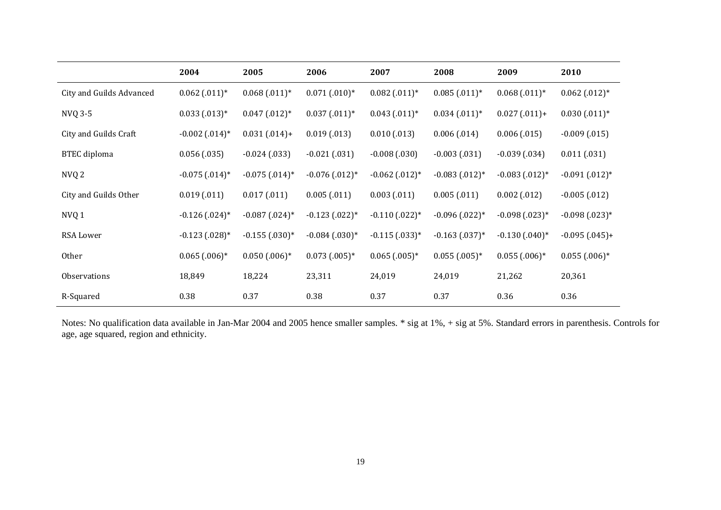|                          | 2004                        | 2005                         | 2006              | 2007                         | 2008              | 2009              | 2010                        |
|--------------------------|-----------------------------|------------------------------|-------------------|------------------------------|-------------------|-------------------|-----------------------------|
| City and Guilds Advanced | $0.062(0.011)*$             | $0.068(0.011)*$              | $0.071(0.010)*$   | $0.082(0.011)*$              | $0.085(0.011)*$   | $0.068(0.011)*$   | $0.062(0.012)*$             |
| NVQ 3-5                  | $0.033(0.013)*$             | $0.047(0.012)*$              | $0.037(0.011)*$   | $0.043(0.011)*$              | $0.034(0.011)*$   | $0.027(0.011)+$   | $0.030(0.011)*$             |
| City and Guilds Craft    | $-0.002$ $(.014)*$          | $0.031(0.014) +$             | 0.019(0.013)      | 0.010(0.013)                 | 0.006(0.014)      | 0.006(0.015)      | $-0.009(0.015)$             |
| <b>BTEC</b> diploma      | 0.056(0.035)                | $-0.024(0.033)$              | $-0.021(0.031)$   | $-0.008(0.030)$              | $-0.003(0.031)$   | $-0.039(0.034)$   | 0.011(0.031)                |
| NVQ <sub>2</sub>         | $-0.075$ $(.014)*$          | $-0.075$ $(.014)*$           | $-0.076(0.012)$ * | $-0.062$ (.012) <sup>*</sup> | $-0.083(0.012)$ * | $-0.083(0.012)*$  | $-0.091(012)*$              |
| City and Guilds Other    | 0.019(0.011)                | 0.017(0.011)                 | 0.005(0.011)      | 0.003(0.011)                 | 0.005(0.011)      | 0.002(0.012)      | $-0.005(0.012)$             |
| NVQ 1                    | $-0.126(0.024)$ *           | $-0.087$ (.024) <sup>*</sup> | $-0.123(022)*$    | $-0.110(0.022)$ *            | $-0.096(0.022)*$  | $-0.098(0.023)*$  | $-0.098(0.023)*$            |
| RSA Lower                | $-0.123(0.028)*$            | $-0.155(0.030)*$             | $-0.084(0.030)*$  | $-0.115(0.033)*$             | $-0.163(0.037)$ * | $-0.130(0.040)$ * | $-0.095(0.045)+$            |
| Other                    | $0.065$ (.006) <sup>*</sup> | $0.050(0.006)*$              | $0.073(0.005)*$   | $0.065(0.005)*$              | $0.055$ $(.005)*$ | $0.055(0.006)*$   | $0.055$ (.006) <sup>*</sup> |
| Observations             | 18,849                      | 18,224                       | 23,311            | 24,019                       | 24,019            | 21,262            | 20,361                      |
| R-Squared                | 0.38                        | 0.37                         | 0.38              | 0.37                         | 0.37              | 0.36              | 0.36                        |

Notes: No qualification data available in Jan-Mar 2004 and 2005 hence smaller samples. \* sig at 1%, + sig at 5%. Standard errors in parenthesis. Controls for age, age squared, region and ethnicity.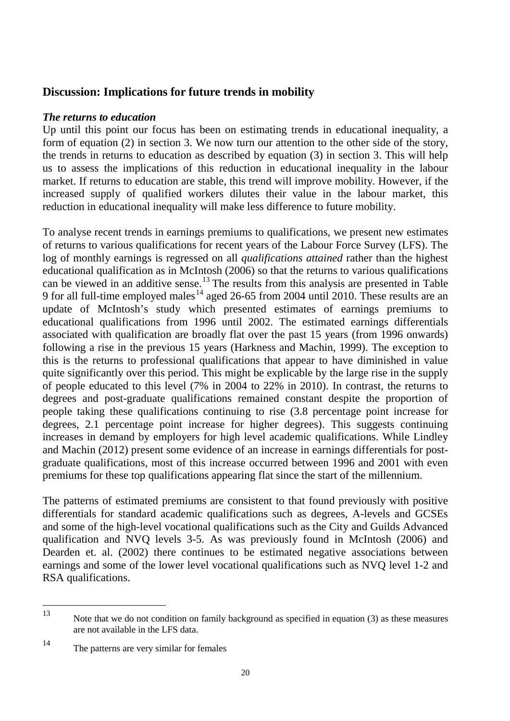# <span id="page-22-0"></span>**Discussion: Implications for future trends in mobility**

### *The returns to education*

Up until this point our focus has been on estimating trends in educational inequality, a form of equation (2) in section 3. We now turn our attention to the other side of the story, the trends in returns to education as described by equation (3) in section 3. This will help us to assess the implications of this reduction in educational inequality in the labour market. If returns to education are stable, this trend will improve mobility. However, if the increased supply of qualified workers dilutes their value in the labour market, this reduction in educational inequality will make less difference to future mobility.

To analyse recent trends in earnings premiums to qualifications, we present new estimates of returns to various qualifications for recent years of the Labour Force Survey (LFS). The log of monthly earnings is regressed on all *qualifications attained* rather than the highest educational qualification as in McIntosh (2006) so that the returns to various qualifications can be viewed in an additive sense.<sup>[13](#page-22-1)</sup> The results from this analysis are presented in Table 9 for all full-time employed males<sup>[14](#page-22-2)</sup> aged 26-65 from 2004 until 2010. These results are an update of McIntosh's study which presented estimates of earnings premiums to educational qualifications from 1996 until 2002. The estimated earnings differentials associated with qualification are broadly flat over the past 15 years (from 1996 onwards) following a rise in the previous 15 years (Harkness and Machin, 1999). The exception to this is the returns to professional qualifications that appear to have diminished in value quite significantly over this period. This might be explicable by the large rise in the supply of people educated to this level (7% in 2004 to 22% in 2010). In contrast, the returns to degrees and post-graduate qualifications remained constant despite the proportion of people taking these qualifications continuing to rise (3.8 percentage point increase for degrees, 2.1 percentage point increase for higher degrees). This suggests continuing increases in demand by employers for high level academic qualifications. While Lindley and Machin (2012) present some evidence of an increase in earnings differentials for postgraduate qualifications, most of this increase occurred between 1996 and 2001 with even premiums for these top qualifications appearing flat since the start of the millennium.

The patterns of estimated premiums are consistent to that found previously with positive differentials for standard academic qualifications such as degrees, A-levels and GCSEs and some of the high-level vocational qualifications such as the City and Guilds Advanced qualification and NVQ levels 3-5. As was previously found in McIntosh (2006) and Dearden et. al. (2002) there continues to be estimated negative associations between earnings and some of the lower level vocational qualifications such as NVQ level 1-2 and RSA qualifications.

<span id="page-22-1"></span>Note that we do not condition on family background as specified in equation (3) as these measures are not available in the LFS data. 13

<span id="page-22-2"></span><sup>14</sup> The patterns are very similar for females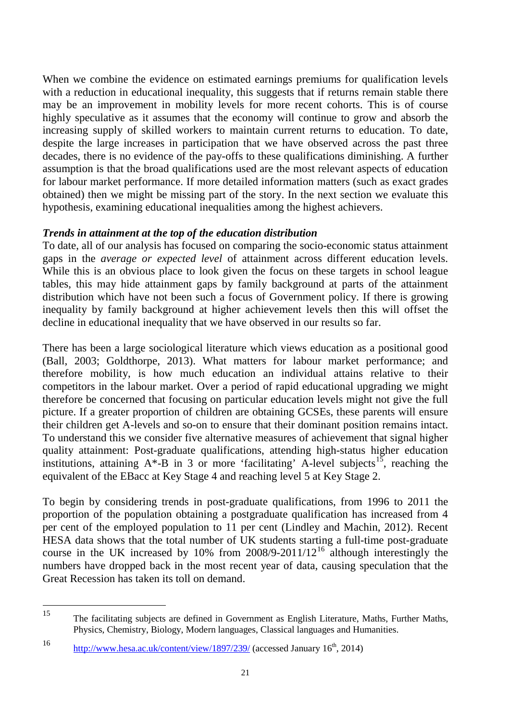When we combine the evidence on estimated earnings premiums for qualification levels with a reduction in educational inequality, this suggests that if returns remain stable there may be an improvement in mobility levels for more recent cohorts. This is of course highly speculative as it assumes that the economy will continue to grow and absorb the increasing supply of skilled workers to maintain current returns to education. To date, despite the large increases in participation that we have observed across the past three decades, there is no evidence of the pay-offs to these qualifications diminishing. A further assumption is that the broad qualifications used are the most relevant aspects of education for labour market performance. If more detailed information matters (such as exact grades obtained) then we might be missing part of the story. In the next section we evaluate this hypothesis, examining educational inequalities among the highest achievers.

### *Trends in attainment at the top of the education distribution*

To date, all of our analysis has focused on comparing the socio-economic status attainment gaps in the *average or expected level* of attainment across different education levels. While this is an obvious place to look given the focus on these targets in school league tables, this may hide attainment gaps by family background at parts of the attainment distribution which have not been such a focus of Government policy. If there is growing inequality by family background at higher achievement levels then this will offset the decline in educational inequality that we have observed in our results so far.

There has been a large sociological literature which views education as a positional good (Ball, 2003; Goldthorpe, 2013). What matters for labour market performance; and therefore mobility, is how much education an individual attains relative to their competitors in the labour market. Over a period of rapid educational upgrading we might therefore be concerned that focusing on particular education levels might not give the full picture. If a greater proportion of children are obtaining GCSEs, these parents will ensure their children get A-levels and so-on to ensure that their dominant position remains intact. To understand this we consider five alternative measures of achievement that signal higher quality attainment: Post-graduate qualifications, attending high-status higher education institutions, attaining  $A^*$ -B in 3 or more 'facilitating' A-level subjects<sup>15</sup>, reaching the equivalent of the EBacc at Key Stage 4 and reaching level 5 at Key Stage 2.

To begin by considering trends in post-graduate qualifications, from 1996 to 2011 the proportion of the population obtaining a postgraduate qualification has increased from 4 per cent of the employed population to 11 per cent (Lindley and Machin, 2012). Recent HESA data shows that the total number of UK students starting a full-time post-graduate course in the UK increased by 10% from  $2008/9-2011/12^{16}$  $2008/9-2011/12^{16}$  $2008/9-2011/12^{16}$  although interestingly the numbers have dropped back in the most recent year of data, causing speculation that the Great Recession has taken its toll on demand.

<span id="page-23-0"></span><sup>15</sup> The facilitating subjects are defined in Government as English Literature, Maths, Further Maths, Physics, Chemistry, Biology, Modern languages, Classical languages and Humanities. 15

<span id="page-23-1"></span><sup>16</sup> <http://www.hesa.ac.uk/content/view/1897/239/> (accessed January  $16<sup>th</sup>$ , 2014)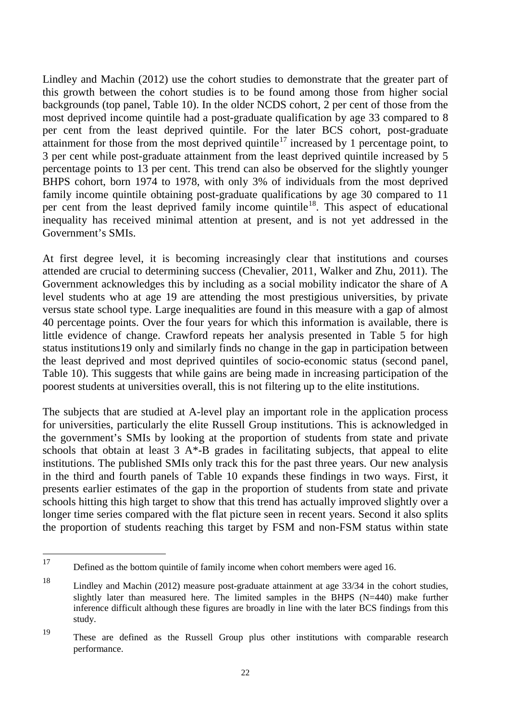Lindley and Machin (2012) use the cohort studies to demonstrate that the greater part of this growth between the cohort studies is to be found among those from higher social backgrounds (top panel, Table 10). In the older NCDS cohort, 2 per cent of those from the most deprived income quintile had a post-graduate qualification by age 33 compared to 8 per cent from the least deprived quintile. For the later BCS cohort, post-graduate attainment for those from the most deprived quintile<sup>[17](#page-24-0)</sup> increased by 1 percentage point, to 3 per cent while post-graduate attainment from the least deprived quintile increased by 5 percentage points to 13 per cent. This trend can also be observed for the slightly younger BHPS cohort, born 1974 to 1978, with only 3% of individuals from the most deprived family income quintile obtaining post-graduate qualifications by age 30 compared to 11 per cent from the least deprived family income quintile<sup>[18](#page-24-1)</sup>. This aspect of educational inequality has received minimal attention at present, and is not yet addressed in the Government's SMIs.

At first degree level, it is becoming increasingly clear that institutions and courses attended are crucial to determining success (Chevalier, 2011, Walker and Zhu, 2011). The Government acknowledges this by including as a social mobility indicator the share of A level students who at age 19 are attending the most prestigious universities, by private versus state school type. Large inequalities are found in this measure with a gap of almost 40 percentage points. Over the four years for which this information is available, there is little evidence of change. Crawford repeats her analysis presented in Table 5 for high status institutions[19](#page-24-2) only and similarly finds no change in the gap in participation between the least deprived and most deprived quintiles of socio-economic status (second panel, Table 10). This suggests that while gains are being made in increasing participation of the poorest students at universities overall, this is not filtering up to the elite institutions.

The subjects that are studied at A-level play an important role in the application process for universities, particularly the elite Russell Group institutions. This is acknowledged in the government's SMIs by looking at the proportion of students from state and private schools that obtain at least  $3 A^*$ -B grades in facilitating subjects, that appeal to elite institutions. The published SMIs only track this for the past three years. Our new analysis in the third and fourth panels of Table 10 expands these findings in two ways. First, it presents earlier estimates of the gap in the proportion of students from state and private schools hitting this high target to show that this trend has actually improved slightly over a longer time series compared with the flat picture seen in recent years. Second it also splits the proportion of students reaching this target by FSM and non-FSM status within state

<span id="page-24-0"></span>Defined as the bottom quintile of family income when cohort members were aged 16. 17

<span id="page-24-1"></span><sup>18</sup> Lindley and Machin (2012) measure post-graduate attainment at age 33/34 in the cohort studies, slightly later than measured here. The limited samples in the BHPS (N=440) make further inference difficult although these figures are broadly in line with the later BCS findings from this study.

<span id="page-24-2"></span><sup>19</sup> These are defined as the Russell Group plus other institutions with comparable research performance.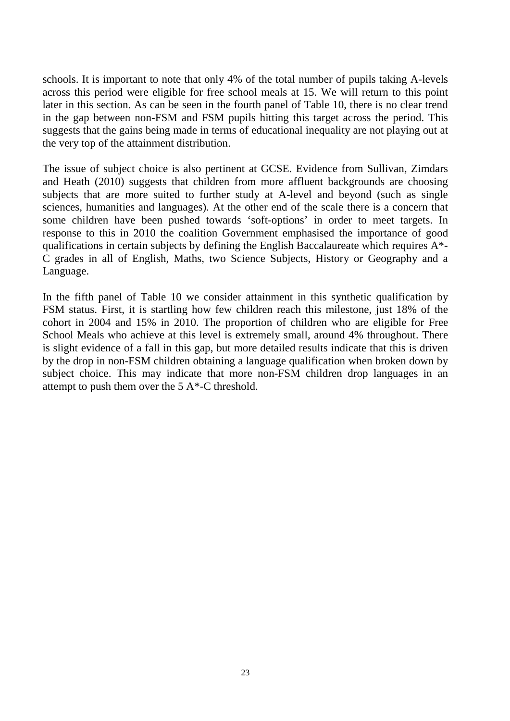schools. It is important to note that only 4% of the total number of pupils taking A-levels across this period were eligible for free school meals at 15. We will return to this point later in this section. As can be seen in the fourth panel of Table 10, there is no clear trend in the gap between non-FSM and FSM pupils hitting this target across the period. This suggests that the gains being made in terms of educational inequality are not playing out at the very top of the attainment distribution.

The issue of subject choice is also pertinent at GCSE. Evidence from Sullivan, Zimdars and Heath (2010) suggests that children from more affluent backgrounds are choosing subjects that are more suited to further study at A-level and beyond (such as single sciences, humanities and languages). At the other end of the scale there is a concern that some children have been pushed towards 'soft-options' in order to meet targets. In response to this in 2010 the coalition Government emphasised the importance of good qualifications in certain subjects by defining the English Baccalaureate which requires A\*- C grades in all of English, Maths, two Science Subjects, History or Geography and a Language.

In the fifth panel of Table 10 we consider attainment in this synthetic qualification by FSM status. First, it is startling how few children reach this milestone, just 18% of the cohort in 2004 and 15% in 2010. The proportion of children who are eligible for Free School Meals who achieve at this level is extremely small, around 4% throughout. There is slight evidence of a fall in this gap, but more detailed results indicate that this is driven by the drop in non-FSM children obtaining a language qualification when broken down by subject choice. This may indicate that more non-FSM children drop languages in an attempt to push them over the 5 A\*-C threshold.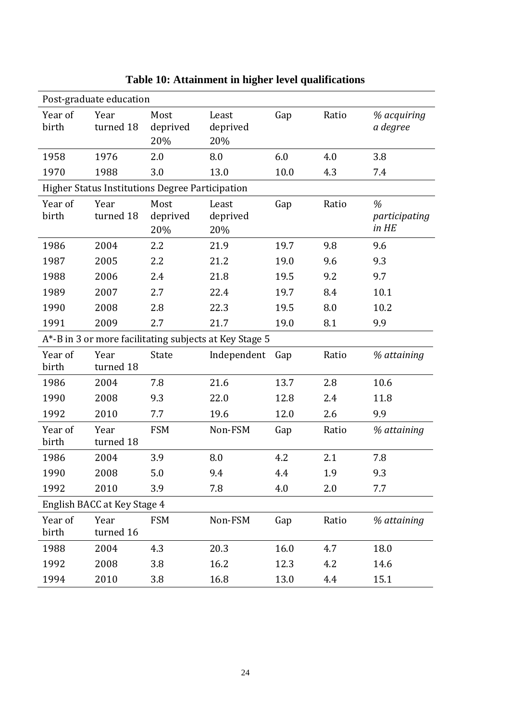| Post-graduate education                                |                   |                         |                          |      |       |                             |  |  |
|--------------------------------------------------------|-------------------|-------------------------|--------------------------|------|-------|-----------------------------|--|--|
| Year of<br>birth                                       | Year<br>turned 18 | Most<br>deprived<br>20% | Least<br>deprived<br>20% | Gap  | Ratio | % acquiring<br>a degree     |  |  |
| 1958                                                   | 1976              | 2.0                     | 8.0                      | 6.0  | 4.0   | 3.8                         |  |  |
| 1970                                                   | 1988              | 3.0                     | 13.0                     | 10.0 | 4.3   | 7.4                         |  |  |
| <b>Higher Status Institutions Degree Participation</b> |                   |                         |                          |      |       |                             |  |  |
| Year of<br>birth                                       | Year<br>turned 18 | Most<br>deprived<br>20% | Least<br>deprived<br>20% | Gap  | Ratio | %<br>participating<br>in HE |  |  |
| 1986                                                   | 2004              | 2.2                     | 21.9                     | 19.7 | 9.8   | 9.6                         |  |  |
| 1987                                                   | 2005              | 2.2                     | 21.2                     | 19.0 | 9.6   | 9.3                         |  |  |
| 1988                                                   | 2006              | 2.4                     | 21.8                     | 19.5 | 9.2   | 9.7                         |  |  |
| 1989                                                   | 2007              | 2.7                     | 22.4                     | 19.7 | 8.4   | 10.1                        |  |  |
| 1990                                                   | 2008              | 2.8                     | 22.3                     | 19.5 | 8.0   | 10.2                        |  |  |
| 1991                                                   | 2009              | 2.7                     | 21.7                     | 19.0 | 8.1   | 9.9                         |  |  |
| A*-B in 3 or more facilitating subjects at Key Stage 5 |                   |                         |                          |      |       |                             |  |  |
| Year of<br>birth                                       | Year<br>turned 18 | State                   | Independent Gap          |      | Ratio | % attaining                 |  |  |
| 1986                                                   | 2004              | 7.8                     | 21.6                     | 13.7 | 2.8   | 10.6                        |  |  |
| 1990                                                   | 2008              | 9.3                     | 22.0                     | 12.8 | 2.4   | 11.8                        |  |  |
| 1992                                                   | 2010              | 7.7                     | 19.6                     | 12.0 | 2.6   | 9.9                         |  |  |
| Year of<br>birth                                       | Year<br>turned 18 | <b>FSM</b>              | Non-FSM                  | Gap  | Ratio | % attaining                 |  |  |
| 1986                                                   | 2004              | 3.9                     | 8.0                      | 4.2  | 2.1   | 7.8                         |  |  |
| 1990                                                   | 2008              | 5.0                     | 9.4                      | 4.4  | 1.9   | 9.3                         |  |  |
| 1992                                                   | 2010              | 3.9                     | 7.8                      | 4.0  | 2.0   | 7.7                         |  |  |
| English BACC at Key Stage 4                            |                   |                         |                          |      |       |                             |  |  |
| Year of<br>birth                                       | Year<br>turned 16 | <b>FSM</b>              | Non-FSM                  | Gap  | Ratio | % attaining                 |  |  |
| 1988                                                   | 2004              | 4.3                     | 20.3                     | 16.0 | 4.7   | 18.0                        |  |  |
| 1992                                                   | 2008              | 3.8                     | 16.2                     | 12.3 | 4.2   | 14.6                        |  |  |
| 1994                                                   | 2010              | 3.8                     | 16.8                     | 13.0 | 4.4   | 15.1                        |  |  |

**Table 10: Attainment in higher level qualifications**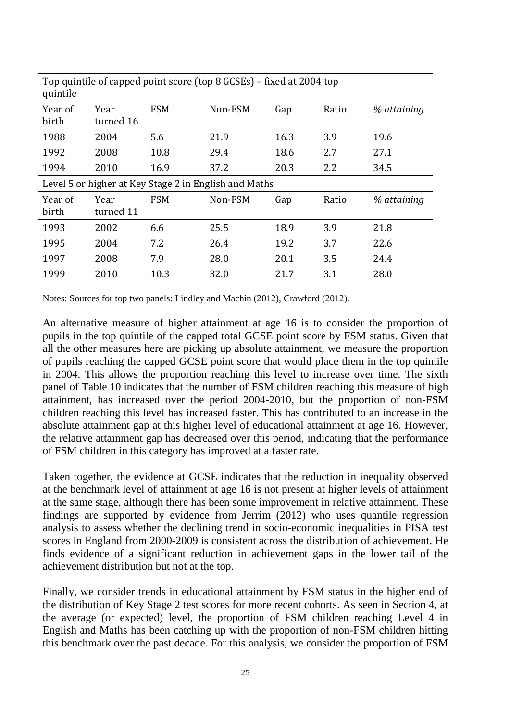| Top quintile of capped point score (top 8 GCSEs) – fixed at 2004 top<br>quintile |                   |            |         |      |       |             |  |
|----------------------------------------------------------------------------------|-------------------|------------|---------|------|-------|-------------|--|
| Year of<br>birth                                                                 | Year<br>turned 16 | <b>FSM</b> | Non-FSM | Gap  | Ratio | % attaining |  |
| 1988                                                                             | 2004              | 5.6        | 21.9    | 16.3 | 3.9   | 19.6        |  |
| 1992                                                                             | 2008              | 10.8       | 29.4    | 18.6 | 2.7   | 27.1        |  |
| 1994                                                                             | 2010              | 16.9       | 37.2    | 20.3 | 2.2   | 34.5        |  |
| Level 5 or higher at Key Stage 2 in English and Maths                            |                   |            |         |      |       |             |  |
| Year of<br>birth                                                                 | Year<br>turned 11 | <b>FSM</b> | Non-FSM | Gap  | Ratio | % attaining |  |
| 1993                                                                             | 2002              | 6.6        | 25.5    | 18.9 | 3.9   | 21.8        |  |
| 1995                                                                             | 2004              | 7.2        | 26.4    | 19.2 | 3.7   | 22.6        |  |
| 1997                                                                             | 2008              | 7.9        | 28.0    | 20.1 | 3.5   | 24.4        |  |
| 1999                                                                             | 2010              | 10.3       | 32.0    | 21.7 | 3.1   | 28.0        |  |

Notes: Sources for top two panels: Lindley and Machin (2012), Crawford (2012).

An alternative measure of higher attainment at age 16 is to consider the proportion of pupils in the top quintile of the capped total GCSE point score by FSM status. Given that all the other measures here are picking up absolute attainment, we measure the proportion of pupils reaching the capped GCSE point score that would place them in the top quintile in 2004. This allows the proportion reaching this level to increase over time. The sixth panel of Table 10 indicates that the number of FSM children reaching this measure of high attainment, has increased over the period 2004-2010, but the proportion of non-FSM children reaching this level has increased faster. This has contributed to an increase in the absolute attainment gap at this higher level of educational attainment at age 16. However, the relative attainment gap has decreased over this period, indicating that the performance of FSM children in this category has improved at a faster rate.

Taken together, the evidence at GCSE indicates that the reduction in inequality observed at the benchmark level of attainment at age 16 is not present at higher levels of attainment at the same stage, although there has been some improvement in relative attainment. These findings are supported by evidence from Jerrim (2012) who uses quantile regression analysis to assess whether the declining trend in socio-economic inequalities in PISA test scores in England from 2000-2009 is consistent across the distribution of achievement. He finds evidence of a significant reduction in achievement gaps in the lower tail of the achievement distribution but not at the top.

Finally, we consider trends in educational attainment by FSM status in the higher end of the distribution of Key Stage 2 test scores for more recent cohorts. As seen in Section 4, at the average (or expected) level, the proportion of FSM children reaching Level 4 in English and Maths has been catching up with the proportion of non-FSM children hitting this benchmark over the past decade. For this analysis, we consider the proportion of FSM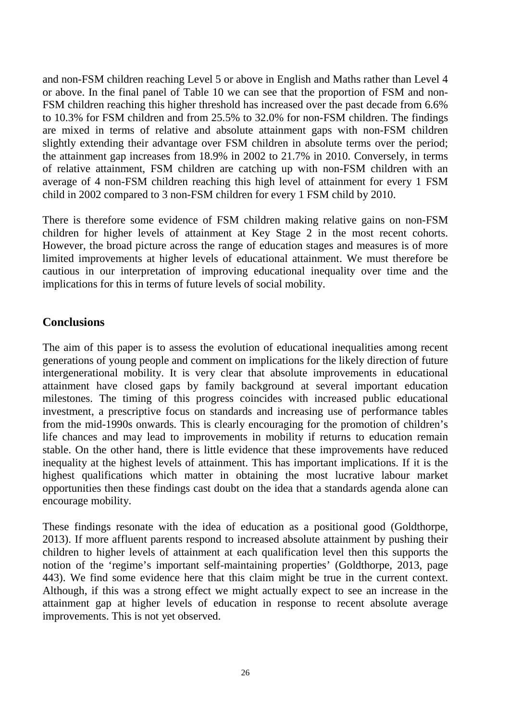and non-FSM children reaching Level 5 or above in English and Maths rather than Level 4 or above. In the final panel of Table 10 we can see that the proportion of FSM and non-FSM children reaching this higher threshold has increased over the past decade from 6.6% to 10.3% for FSM children and from 25.5% to 32.0% for non-FSM children. The findings are mixed in terms of relative and absolute attainment gaps with non-FSM children slightly extending their advantage over FSM children in absolute terms over the period; the attainment gap increases from 18.9% in 2002 to 21.7% in 2010. Conversely, in terms of relative attainment, FSM children are catching up with non-FSM children with an average of 4 non-FSM children reaching this high level of attainment for every 1 FSM child in 2002 compared to 3 non-FSM children for every 1 FSM child by 2010.

There is therefore some evidence of FSM children making relative gains on non-FSM children for higher levels of attainment at Key Stage 2 in the most recent cohorts. However, the broad picture across the range of education stages and measures is of more limited improvements at higher levels of educational attainment. We must therefore be cautious in our interpretation of improving educational inequality over time and the implications for this in terms of future levels of social mobility.

# <span id="page-28-0"></span>**Conclusions**

The aim of this paper is to assess the evolution of educational inequalities among recent generations of young people and comment on implications for the likely direction of future intergenerational mobility. It is very clear that absolute improvements in educational attainment have closed gaps by family background at several important education milestones. The timing of this progress coincides with increased public educational investment, a prescriptive focus on standards and increasing use of performance tables from the mid-1990s onwards. This is clearly encouraging for the promotion of children's life chances and may lead to improvements in mobility if returns to education remain stable. On the other hand, there is little evidence that these improvements have reduced inequality at the highest levels of attainment. This has important implications. If it is the highest qualifications which matter in obtaining the most lucrative labour market opportunities then these findings cast doubt on the idea that a standards agenda alone can encourage mobility.

These findings resonate with the idea of education as a positional good (Goldthorpe, 2013). If more affluent parents respond to increased absolute attainment by pushing their children to higher levels of attainment at each qualification level then this supports the notion of the 'regime's important self-maintaining properties' (Goldthorpe, 2013, page 443). We find some evidence here that this claim might be true in the current context. Although, if this was a strong effect we might actually expect to see an increase in the attainment gap at higher levels of education in response to recent absolute average improvements. This is not yet observed.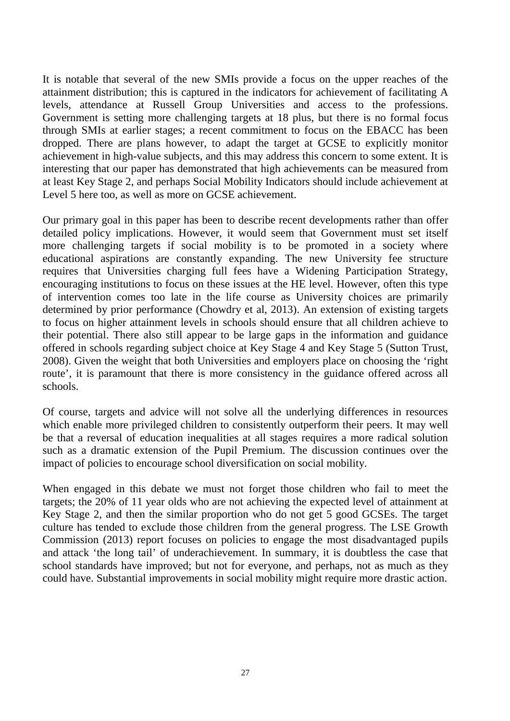It is notable that several of the new SMIs provide a focus on the upper reaches of the attainment distribution; this is captured in the indicators for achievement of facilitating A levels, attendance at Russell Group Universities and access to the professions. Government is setting more challenging targets at 18 plus, but there is no formal focus through SMIs at earlier stages; a recent commitment to focus on the EBACC has been dropped. There are plans however, to adapt the target at GCSE to explicitly monitor achievement in high-value subjects, and this may address this concern to some extent. It is interesting that our paper has demonstrated that high achievements can be measured from at least Key Stage 2, and perhaps Social Mobility Indicators should include achievement at Level 5 here too, as well as more on GCSE achievement.

Our primary goal in this paper has been to describe recent developments rather than offer detailed policy implications. However, it would seem that Government must set itself more challenging targets if social mobility is to be promoted in a society where educational aspirations are constantly expanding. The new University fee structure requires that Universities charging full fees have a Widening Participation Strategy, encouraging institutions to focus on these issues at the HE level. However, often this type of intervention comes too late in the life course as University choices are primarily determined by prior performance (Chowdry et al, 2013). An extension of existing targets to focus on higher attainment levels in schools should ensure that all children achieve to their potential. There also still appear to be large gaps in the information and guidance offered in schools regarding subject choice at Key Stage 4 and Key Stage 5 (Sutton Trust, 2008). Given the weight that both Universities and employers place on choosing the 'right route', it is paramount that there is more consistency in the guidance offered across all schools.

Of course, targets and advice will not solve all the underlying differences in resources which enable more privileged children to consistently outperform their peers. It may well be that a reversal of education inequalities at all stages requires a more radical solution such as a dramatic extension of the Pupil Premium. The discussion continues over the impact of policies to encourage school diversification on social mobility.

When engaged in this debate we must not forget those children who fail to meet the targets; the 20% of 11 year olds who are not achieving the expected level of attainment at Key Stage 2, and then the similar proportion who do not get 5 good GCSEs. The target culture has tended to exclude those children from the general progress. The LSE Growth Commission (2013) report focuses on policies to engage the most disadvantaged pupils and attack 'the long tail' of underachievement. In summary, it is doubtless the case that school standards have improved; but not for everyone, and perhaps, not as much as they could have. Substantial improvements in social mobility might require more drastic action.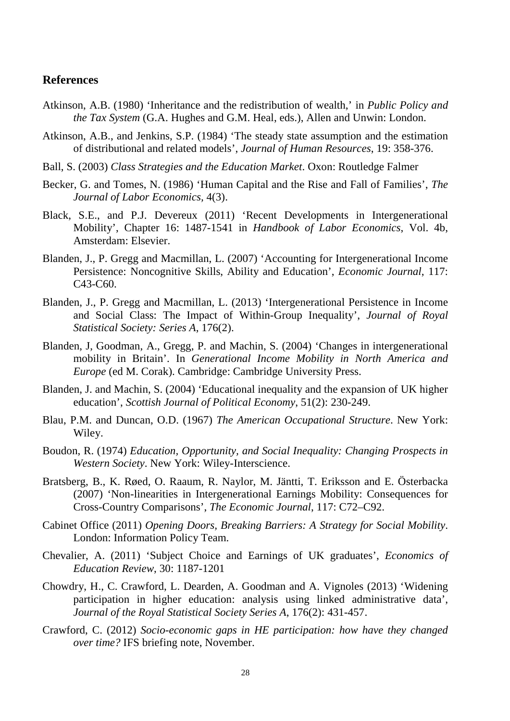#### <span id="page-30-0"></span>**References**

- Atkinson, A.B. (1980) 'Inheritance and the redistribution of wealth,' in *Public Policy and the Tax System* (G.A. Hughes and G.M. Heal, eds.), Allen and Unwin: London.
- Atkinson, A.B., and Jenkins, S.P. (1984) 'The steady state assumption and the estimation of distributional and related models', *Journal of Human Resources*, 19: 358-376.
- Ball, S. (2003) *Class Strategies and the Education Market*. Oxon: Routledge Falmer
- Becker, G. and Tomes, N. (1986) 'Human Capital and the Rise and Fall of Families', *The Journal of Labor Economics,* 4(3).
- Black, S.E., and P.J. Devereux (2011) 'Recent Developments in Intergenerational Mobility', Chapter 16: 1487-1541 in *Handbook of Labor Economics*, Vol. 4b, Amsterdam: Elsevier.
- Blanden, J., P. Gregg and Macmillan, L. (2007) 'Accounting for Intergenerational Income Persistence: Noncognitive Skills, Ability and Education', *Economic Journal*, 117: C43-C60.
- Blanden, J., P. Gregg and Macmillan, L. (2013) 'Intergenerational Persistence in Income and Social Class: The Impact of Within-Group Inequality', *Journal of Royal Statistical Society: Series A*, 176(2).
- Blanden, J, Goodman, A., Gregg, P. and Machin, S. (2004) 'Changes in intergenerational mobility in Britain'. In *Generational Income Mobility in North America and Europe* (ed M. Corak). Cambridge: Cambridge University Press.
- Blanden, J. and Machin, S. (2004) 'Educational inequality and the expansion of UK higher education', *Scottish Journal of Political Economy*, 51(2): 230-249.
- Blau, P.M. and Duncan, O.D. (1967) *The American Occupational Structure*. New York: Wiley.
- Boudon, R. (1974) *Education, Opportunity, and Social Inequality: Changing Prospects in Western Society*. New York: Wiley-Interscience.
- Bratsberg, B., K. Røed, O. Raaum, R. Naylor, M. Jäntti, T. Eriksson and E. Österbacka (2007) 'Non-linearities in Intergenerational Earnings Mobility: Consequences for Cross-Country Comparisons', *The Economic Journal*, 117: C72–C92.
- Cabinet Office (2011) *Opening Doors, Breaking Barriers: A Strategy for Social Mobility*. London: Information Policy Team.
- Chevalier, A. (2011) 'Subject Choice and Earnings of UK graduates', *Economics of Education Review*, 30: 1187-1201
- Chowdry, H., C. Crawford, L. Dearden, A. Goodman and A. Vignoles (2013) 'Widening participation in higher education: analysis using linked administrative data', *Journal of the Royal Statistical Society Series A*, 176(2): 431-457.
- Crawford, C. (2012) *Socio-economic gaps in HE participation: how have they changed over time?* IFS briefing note, November.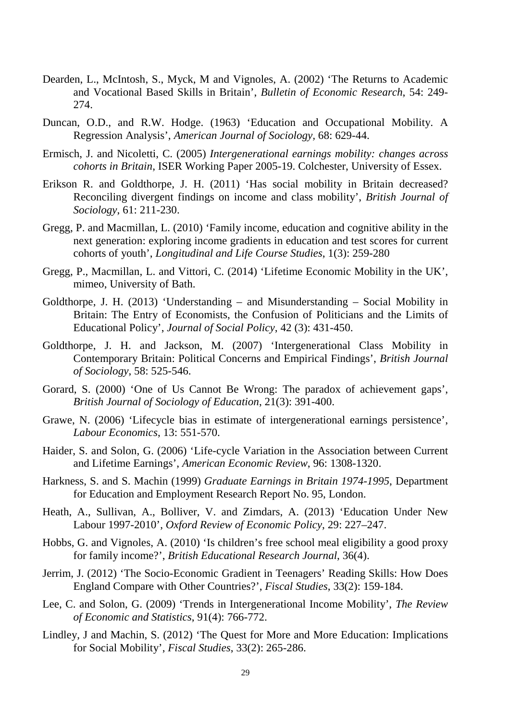- Dearden, L., McIntosh, S., Myck, M and Vignoles, A. (2002) 'The Returns to Academic and Vocational Based Skills in Britain', *Bulletin of Economic Research*, 54: 249- 274.
- Duncan, O.D., and R.W. Hodge. (1963) 'Education and Occupational Mobility. A Regression Analysis', *American Journal of Sociology,* 68: 629-44.
- Ermisch, J. and Nicoletti, C. (2005) *Intergenerational earnings mobility: changes across cohorts in Britain*, ISER Working Paper 2005-19. Colchester, University of Essex.
- Erikson R. and Goldthorpe, J. H. (2011) 'Has social mobility in Britain decreased? Reconciling divergent findings on income and class mobility', *British Journal of Sociology*, 61: 211-230.
- Gregg, P. and Macmillan, L. (2010) 'Family income, education and cognitive ability in the next generation: exploring income gradients in education and test scores for current cohorts of youth', *Longitudinal and Life Course Studies*, 1(3): 259-280
- Gregg, P., Macmillan, L. and Vittori, C. (2014) 'Lifetime Economic Mobility in the UK', mimeo, University of Bath.
- Goldthorpe, J. H. (2013) 'Understanding and Misunderstanding Social Mobility in Britain: The Entry of Economists, the Confusion of Politicians and the Limits of Educational Policy', *Journal of Social Policy*, 42 (3): 431-450.
- Goldthorpe, J. H. and Jackson, M. (2007) 'Intergenerational Class Mobility in Contemporary Britain: Political Concerns and Empirical Findings', *British Journal of Sociology*, 58: 525-546.
- Gorard, S. (2000) 'One of Us Cannot Be Wrong: The paradox of achievement gaps', *British Journal of Sociology of Education*, 21(3): 391-400.
- Grawe, N. (2006) 'Lifecycle bias in estimate of intergenerational earnings persistence', *Labour Economics*, 13: 551-570.
- Haider, S. and Solon, G. (2006) 'Life-cycle Variation in the Association between Current and Lifetime Earnings', *American Economic Review*, 96: 1308-1320.
- Harkness, S. and S. Machin (1999) *Graduate Earnings in Britain 1974-1995*, Department for Education and Employment Research Report No. 95, London.
- Heath, A., Sullivan, A., Bolliver, V. and Zimdars, A. (2013) 'Education Under New Labour 1997-2010', *Oxford Review of Economic Policy*, 29: 227–247.
- Hobbs, G. and Vignoles, A. (2010) 'Is children's free school meal eligibility a good proxy for family income?', *British Educational Research Journal*, 36(4).
- Jerrim, J. (2012) 'The Socio-Economic Gradient in Teenagers' Reading Skills: How Does England Compare with Other Countries?', *Fiscal Studies*, 33(2): 159-184.
- Lee, C. and Solon, G. (2009) 'Trends in Intergenerational Income Mobility', *The Review of Economic and Statistics*, 91(4): 766-772.
- Lindley, J and Machin, S. (2012) 'The Quest for More and More Education: Implications for Social Mobility', *Fiscal Studies*, 33(2): 265-286.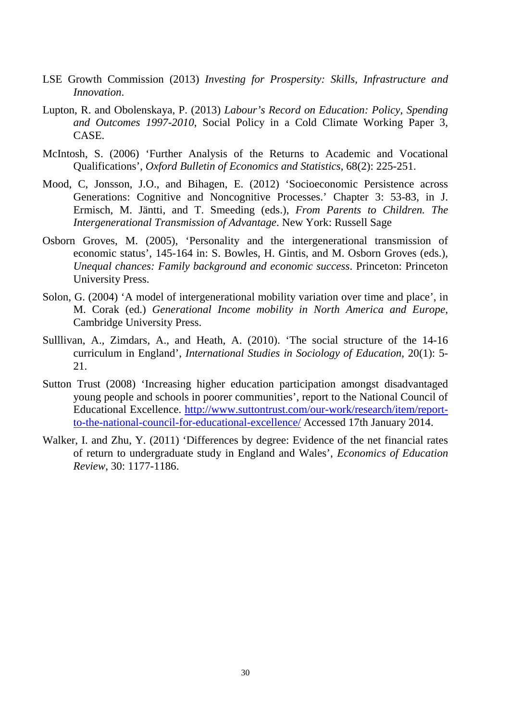- LSE Growth Commission (2013) *Investing for Prospersity: Skills, Infrastructure and Innovation*.
- Lupton, R. and Obolenskaya, P. (2013) *Labour's Record on Education: Policy, Spending and Outcomes 1997-2010*, Social Policy in a Cold Climate Working Paper 3, CASE.
- McIntosh, S. (2006) 'Further Analysis of the Returns to Academic and Vocational Qualifications', *Oxford Bulletin of Economics and Statistics*, 68(2): 225-251.
- Mood, C, Jonsson, J.O., and Bihagen, E. (2012) 'Socioeconomic Persistence across Generations: Cognitive and Noncognitive Processes.' Chapter 3: 53-83, in J. Ermisch, M. Jäntti, and T. Smeeding (eds.), *From Parents to Children. The Intergenerational Transmission of Advantage*. New York: Russell Sage
- Osborn Groves, M. (2005), 'Personality and the intergenerational transmission of economic status', 145-164 in: S. Bowles, H. Gintis, and M. Osborn Groves (eds.), *Unequal chances: Family background and economic success*. Princeton: Princeton University Press.
- Solon, G. (2004) 'A model of intergenerational mobility variation over time and place', in M. Corak (ed.) *Generational Income mobility in North America and Europe*, Cambridge University Press.
- Sulllivan, A., Zimdars, A., and Heath, A. (2010). 'The social structure of the 14-16 curriculum in England', *International Studies in Sociology of Education*, 20(1): 5- 21.
- Sutton Trust (2008) 'Increasing higher education participation amongst disadvantaged young people and schools in poorer communities', report to the National Council of Educational Excellence. [http://www.suttontrust.com/our-work/research/item/report](http://www.suttontrust.com/our-work/research/item/report-to-the-national-council-for-educational-excellence/)[to-the-national-council-for-educational-excellence/](http://www.suttontrust.com/our-work/research/item/report-to-the-national-council-for-educational-excellence/) Accessed 17th January 2014.
- Walker, I. and Zhu, Y. (2011) 'Differences by degree: Evidence of the net financial rates of return to undergraduate study in England and Wales', *Economics of Education Review*, 30: 1177-1186.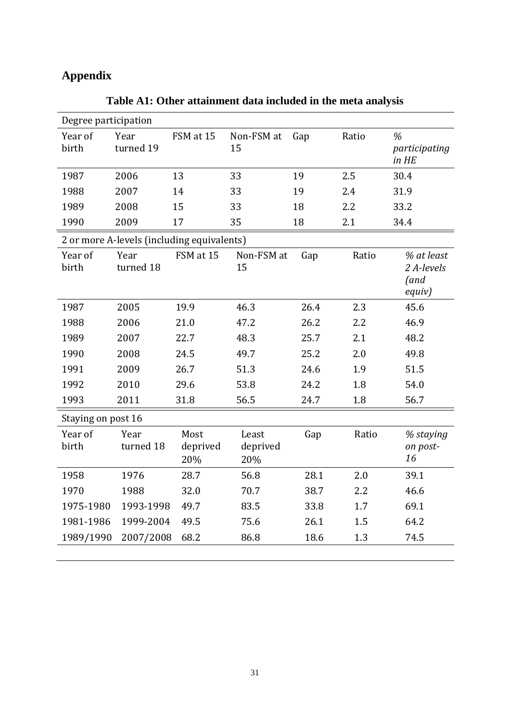# <span id="page-33-0"></span>**Appendix**

| Degree participation |                                            |                         |                          |      |       |                                            |  |  |
|----------------------|--------------------------------------------|-------------------------|--------------------------|------|-------|--------------------------------------------|--|--|
| Year of<br>birth     | Year<br>turned 19                          | FSM at 15               | Non-FSM at<br>15         | Gap  | Ratio | %<br>participating<br>in HE                |  |  |
| 1987                 | 2006                                       | 13                      | 33                       | 19   | 2.5   | 30.4                                       |  |  |
| 1988                 | 2007                                       | 14                      | 33                       | 19   | 2.4   | 31.9                                       |  |  |
| 1989                 | 2008                                       | 15                      | 33                       | 18   | 2.2   | 33.2                                       |  |  |
| 1990                 | 2009                                       | 17                      | 35                       | 18   | 2.1   | 34.4                                       |  |  |
|                      | 2 or more A-levels (including equivalents) |                         |                          |      |       |                                            |  |  |
| Year of<br>birth     | Year<br>turned 18                          | FSM at 15               | Non-FSM at<br>15         | Gap  | Ratio | % at least<br>2 A-levels<br>(and<br>equiv) |  |  |
| 1987                 | 2005                                       | 19.9                    | 46.3                     | 26.4 | 2.3   | 45.6                                       |  |  |
| 1988                 | 2006                                       | 21.0                    | 47.2                     | 26.2 | 2.2   | 46.9                                       |  |  |
| 1989                 | 2007                                       | 22.7                    | 48.3                     | 25.7 | 2.1   | 48.2                                       |  |  |
| 1990                 | 2008                                       | 24.5                    | 49.7                     | 25.2 | 2.0   | 49.8                                       |  |  |
| 1991                 | 2009                                       | 26.7                    | 51.3                     | 24.6 | 1.9   | 51.5                                       |  |  |
| 1992                 | 2010                                       | 29.6                    | 53.8                     | 24.2 | 1.8   | 54.0                                       |  |  |
| 1993                 | 2011                                       | 31.8                    | 56.5                     | 24.7 | 1.8   | 56.7                                       |  |  |
| Staying on post 16   |                                            |                         |                          |      |       |                                            |  |  |
| Year of<br>birth     | Year<br>turned 18                          | Most<br>deprived<br>20% | Least<br>deprived<br>20% | Gap  | Ratio | % staying<br>on post-<br>16                |  |  |
| 1958                 | 1976                                       | 28.7                    | 56.8                     | 28.1 | 2.0   | 39.1                                       |  |  |
| 1970                 | 1988                                       | 32.0                    | 70.7                     | 38.7 | 2.2   | 46.6                                       |  |  |
| 1975-1980            | 1993-1998                                  | 49.7                    | 83.5                     | 33.8 | 1.7   | 69.1                                       |  |  |
| 1981-1986            | 1999-2004                                  | 49.5                    | 75.6                     | 26.1 | 1.5   | 64.2                                       |  |  |
| 1989/1990            | 2007/2008                                  | 68.2                    | 86.8                     | 18.6 | 1.3   | 74.5                                       |  |  |
|                      |                                            |                         |                          |      |       |                                            |  |  |

**Table A1: Other attainment data included in the meta analysis**